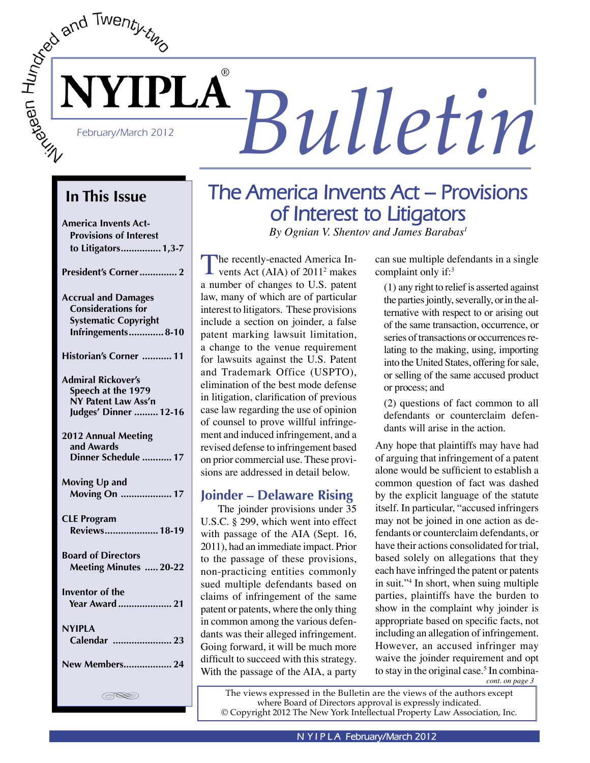# France of the **Sulletin**

# **In This Issue**

| <b>America Invents Act-</b>   |
|-------------------------------|
| <b>Provisions of Interest</b> |
| to Litigators 1,3-7           |
| President's Corner 2          |
| <b>Accrual and Damages</b>    |
| <b>Considerations for</b>     |
| <b>Systematic Copyright</b>   |
| <b>Infringements 8-10</b>     |
| Historian's Corner  11        |
| <b>Admiral Rickover's</b>     |
| Speech at the 1979            |
| NY Patent Law Ass'n           |
| Judges' Dinner  12-16         |
| <b>2012 Annual Meeting</b>    |
| and Awards                    |
| Dinner Schedule  17           |
| Moving Up and                 |
| <b>Moving On  17</b>          |
|                               |
| <b>CLE Program</b>            |
| Reviews 18-19                 |
| <b>Board of Directors</b>     |
| <b>Meeting Minutes  20-22</b> |
| Inventor of the               |
| Year Award  21                |
|                               |
| <b>NYIPLA</b>                 |
| Calendar  23                  |
| New Members 24                |
| <b>SSS</b>                    |
|                               |

# **The America Invents Act – Provisions of Interest to Litigators**

*By Ognian V. Shentov and James Barabas1*

The recently-enacted America Invents Act (AIA) of 2011<sup>2</sup> makes a number of changes to U.S. patent law, many of which are of particular interest to litigators. These provisions include a section on joinder, a false patent marking lawsuit limitation, a change to the venue requirement for lawsuits against the U.S. Patent and Trademark Office (USPTO), elimination of the best mode defense in litigation, clarification of previous case law regarding the use of opinion of counsel to prove willful infringement and induced infringement, and a revised defense to infringement based on prior commercial use. These provisions are addressed in detail below.

## **Joinder – Delaware Rising**

The joinder provisions under  $35$ U.S.C. § 299, which went into effect with passage of the AIA (Sept. 16, 2011), had an immediate impact. Prior to the passage of these provisions, non-practicing entities commonly sued multiple defendants based on claims of infringement of the same patent or patents, where the only thing in common among the various defendants was their alleged infringement. Going forward, it will be much more difficult to succeed with this strategy. With the passage of the AIA, a party

can sue multiple defendants in a single complaint only if:<sup>3</sup>

(1) any right to relief is asserted against the parties jointly, severally, or in the alternative with respect to or arising out of the same transaction, occurrence, or series of transactions or occurrences relating to the making, using, importing into the United States, offering for sale, or selling of the same accused product or process; and

(2) questions of fact common to all defendants or counterclaim defendants will arise in the action.

*cont. on page 3* Any hope that plaintiffs may have had of arguing that infringement of a patent alone would be sufficient to establish a common question of fact was dashed by the explicit language of the statute itself. In particular, "accused infringers may not be joined in one action as defendants or counterclaim defendants, or have their actions consolidated for trial, based solely on allegations that they each have infringed the patent or patents in suit."4 In short, when suing multiple parties, plaintiffs have the burden to show in the complaint why joinder is appropriate based on specific facts, not including an allegation of infringement. However, an accused infringer may waive the joinder requirement and opt to stay in the original case.<sup>5</sup> In combina-

The views expressed in the Bulletin are the views of the authors except The views expressed in the Bulletin are the views of the authors<br>where Board of Directors approval is expressly indicated. © Copyright 2012 The New York Intellectual Property Law Association, Inc.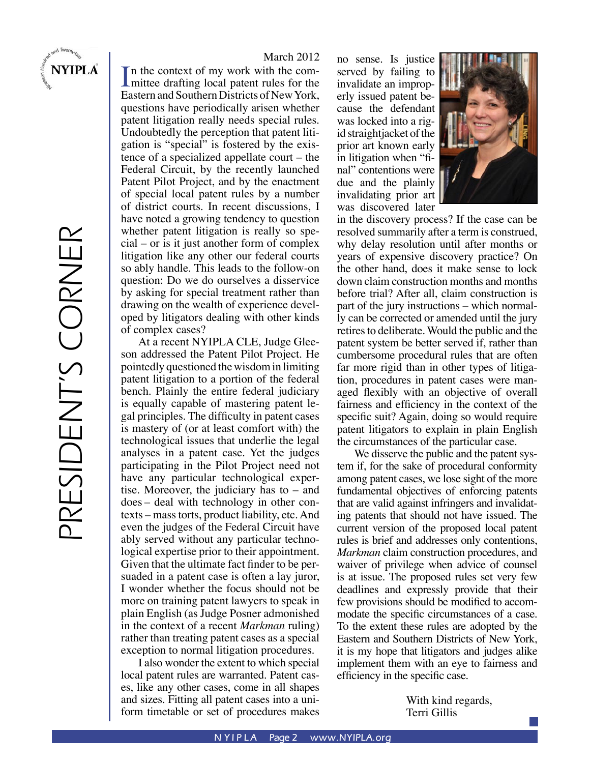

## March 2012

In the context of my work with the com-<br>mittee drafting local patent rules for the<br>Estatement Southam Districts of Navy York n the context of my work with the com-Eastern and Southern Districts of New York, questions have periodically arisen whether patent litigation really needs special rules. Undoubtedly the perception that patent litigation is "special" is fostered by the existence of a specialized appellate court – the Federal Circuit, by the recently launched Patent Pilot Project, and by the enactment of special local patent rules by a number of district courts. In recent discussions, I have noted a growing tendency to question whether patent litigation is really so special – or is it just another form of complex litigation like any other our federal courts so ably handle. This leads to the follow-on question: Do we do ourselves a disservice by asking for special treatment rather than drawing on the wealth of experience developed by litigators dealing with other kinds of complex cases?

 At a recent NYIPLA CLE, Judge Gleeson addressed the Patent Pilot Project. He pointedly questioned the wisdom in limiting patent litigation to a portion of the federal bench. Plainly the entire federal judiciary is equally capable of mastering patent legal principles. The difficulty in patent cases is mastery of (or at least comfort with) the technological issues that underlie the legal analyses in a patent case. Yet the judges participating in the Pilot Project need not have any particular technological expertise. Moreover, the judiciary has to – and does – deal with technology in other contexts – mass torts, product liability, etc. And even the judges of the Federal Circuit have ably served without any particular technological expertise prior to their appointment. Given that the ultimate fact finder to be persuaded in a patent case is often a lay juror, I wonder whether the focus should not be more on training patent lawyers to speak in plain English (as Judge Posner admonished in the context of a recent *Markman* ruling) rather than treating patent cases as a special exception to normal litigation procedures.

 I also wonder the extent to which special local patent rules are warranted. Patent cases, like any other cases, come in all shapes and sizes. Fitting all patent cases into a uniform timetable or set of procedures makes

no sense. Is justice served by failing to invalidate an improperly issued patent because the defendant was locked into a rigid straightjacket of the prior art known early in litigation when "final" contentions were due and the plainly invalidating prior art was discovered later



in the discovery process? If the case can be resolved summarily after a term is construed, why delay resolution until after months or years of expensive discovery practice? On the other hand, does it make sense to lock down claim construction months and months before trial? After all, claim construction is part of the jury instructions – which normally can be corrected or amended until the jury retires to deliberate. Would the public and the patent system be better served if, rather than cumbersome procedural rules that are often far more rigid than in other types of litigation, procedures in patent cases were managed flexibly with an objective of overall fairness and efficiency in the context of the specific suit? Again, doing so would require patent litigators to explain in plain English the circumstances of the particular case.

 We disserve the public and the patent system if, for the sake of procedural conformity among patent cases, we lose sight of the more fundamental objectives of enforcing patents that are valid against infringers and invalidating patents that should not have issued. The current version of the proposed local patent rules is brief and addresses only contentions, *Markman* claim construction procedures, and waiver of privilege when advice of counsel is at issue. The proposed rules set very few deadlines and expressly provide that their few provisions should be modified to accommodate the specific circumstances of a case. To the extent these rules are adopted by the Eastern and Southern Districts of New York, it is my hope that litigators and judges alike implement them with an eye to fairness and efficiency in the specific case.

> With kind regards, Terri Gillis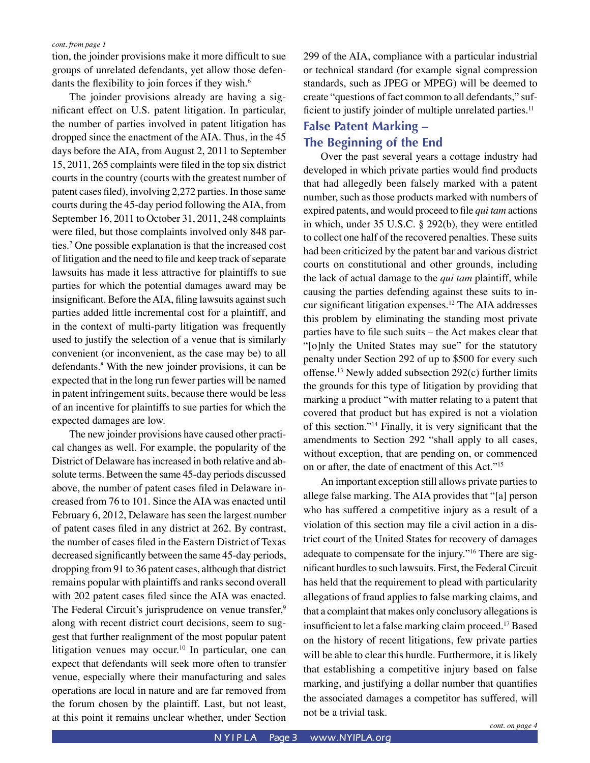tion, the joinder provisions make it more difficult to sue groups of unrelated defendants, yet allow those defendants the flexibility to join forces if they wish.<sup>6</sup>

 The joinder provisions already are having a significant effect on U.S. patent litigation. In particular, the number of parties involved in patent litigation has dropped since the enactment of the AIA. Thus, in the 45 days before the AIA, from August 2, 2011 to September 15, 2011, 265 complaints were filed in the top six district courts in the country (courts with the greatest number of patent cases filed), involving 2,272 parties. In those same courts during the 45-day period following the AIA, from September 16, 2011 to October 31, 2011, 248 complaints were filed, but those complaints involved only 848 parties.7 One possible explanation is that the increased cost of litigation and the need to file and keep track of separate lawsuits has made it less attractive for plaintiffs to sue parties for which the potential damages award may be insignificant. Before the AIA, filing lawsuits against such parties added little incremental cost for a plaintiff, and in the context of multi-party litigation was frequently used to justify the selection of a venue that is similarly convenient (or inconvenient, as the case may be) to all defendants.8 With the new joinder provisions, it can be expected that in the long run fewer parties will be named in patent infringement suits, because there would be less of an incentive for plaintiffs to sue parties for which the expected damages are low.

 The new joinder provisions have caused other practical changes as well. For example, the popularity of the District of Delaware has increased in both relative and absolute terms. Between the same 45-day periods discussed above, the number of patent cases filed in Delaware increased from 76 to 101. Since the AIA was enacted until February 6, 2012, Delaware has seen the largest number of patent cases filed in any district at 262. By contrast, the number of cases filed in the Eastern District of Texas decreased significantly between the same 45-day periods, dropping from 91 to 36 patent cases, although that district remains popular with plaintiffs and ranks second overall with 202 patent cases filed since the AIA was enacted. The Federal Circuit's jurisprudence on venue transfer,<sup>9</sup> along with recent district court decisions, seem to suggest that further realignment of the most popular patent litigation venues may occur.<sup>10</sup> In particular, one can expect that defendants will seek more often to transfer venue, especially where their manufacturing and sales operations are local in nature and are far removed from the forum chosen by the plaintiff. Last, but not least, at this point it remains unclear whether, under Section 299 of the AIA, compliance with a particular industrial or technical standard (for example signal compression standards, such as JPEG or MPEG) will be deemed to create "questions of fact common to all defendants," sufficient to justify joinder of multiple unrelated parties.<sup>11</sup>

## **False Patent Marking – The Beginning of the End**

 Over the past several years a cottage industry had developed in which private parties would find products that had allegedly been falsely marked with a patent number, such as those products marked with numbers of expired patents, and would proceed to file *qui tam* actions in which, under 35 U.S.C. § 292(b), they were entitled to collect one half of the recovered penalties. These suits had been criticized by the patent bar and various district courts on constitutional and other grounds, including the lack of actual damage to the *qui tam* plaintiff, while causing the parties defending against these suits to incur significant litigation expenses.12 The AIA addresses this problem by eliminating the standing most private parties have to file such suits – the Act makes clear that "[o]nly the United States may sue" for the statutory penalty under Section 292 of up to \$500 for every such offense.<sup>13</sup> Newly added subsection  $292(c)$  further limits the grounds for this type of litigation by providing that marking a product "with matter relating to a patent that covered that product but has expired is not a violation of this section."14 Finally, it is very significant that the amendments to Section 292 "shall apply to all cases, without exception, that are pending on, or commenced on or after, the date of enactment of this Act."15

 An important exception still allows private parties to allege false marking. The AIA provides that "[a] person who has suffered a competitive injury as a result of a violation of this section may file a civil action in a district court of the United States for recovery of damages adequate to compensate for the injury."16 There are significant hurdles to such lawsuits. First, the Federal Circuit has held that the requirement to plead with particularity allegations of fraud applies to false marking claims, and that a complaint that makes only conclusory allegations is insufficient to let a false marking claim proceed.17 Based on the history of recent litigations, few private parties will be able to clear this hurdle. Furthermore, it is likely that establishing a competitive injury based on false marking, and justifying a dollar number that quantifies the associated damages a competitor has suffered, will not be a trivial task.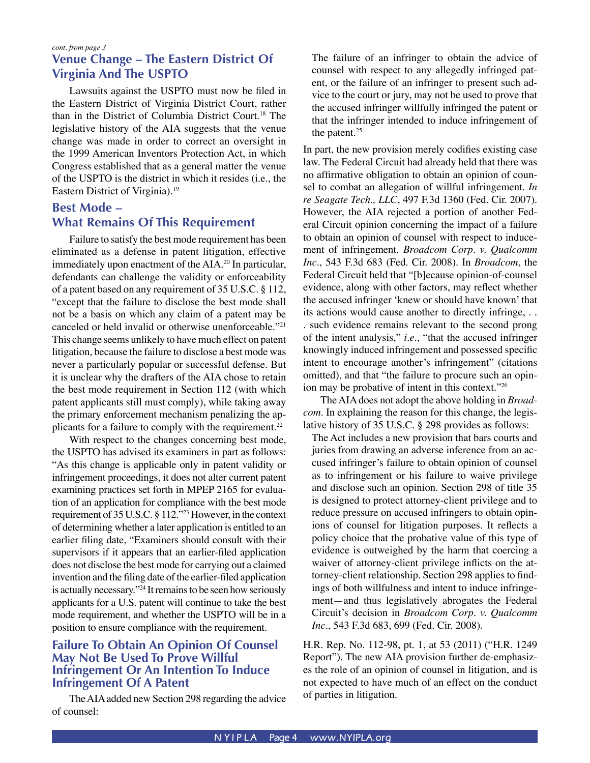## **Venue Change – The Eastern District Of Virginia And The USPTO**

 Lawsuits against the USPTO must now be filed in the Eastern District of Virginia District Court, rather than in the District of Columbia District Court.18 The legislative history of the AIA suggests that the venue change was made in order to correct an oversight in the 1999 American Inventors Protection Act, in which Congress established that as a general matter the venue of the USPTO is the district in which it resides (i.e., the Eastern District of Virginia).19

## **Best Mode – What Remains Of This Requirement**

 Failure to satisfy the best mode requirement has been eliminated as a defense in patent litigation, effective immediately upon enactment of the AIA.<sup>20</sup> In particular, defendants can challenge the validity or enforceability of a patent based on any requirement of 35 U.S.C. § 112, "except that the failure to disclose the best mode shall not be a basis on which any claim of a patent may be canceled or held invalid or otherwise unenforceable."21 This change seems unlikely to have much effect on patent litigation, because the failure to disclose a best mode was never a particularly popular or successful defense. But it is unclear why the drafters of the AIA chose to retain the best mode requirement in Section 112 (with which patent applicants still must comply), while taking away the primary enforcement mechanism penalizing the applicants for a failure to comply with the requirement.<sup>22</sup>

 With respect to the changes concerning best mode, the USPTO has advised its examiners in part as follows: "As this change is applicable only in patent validity or infringement proceedings, it does not alter current patent examining practices set forth in MPEP 2165 for evaluation of an application for compliance with the best mode requirement of 35 U.S.C. § 112."23 However, in the context of determining whether a later application is entitled to an earlier filing date, "Examiners should consult with their supervisors if it appears that an earlier-filed application does not disclose the best mode for carrying out a claimed invention and the filing date of the earlier-filed application is actually necessary."24 It remains to be seen how seriously applicants for a U.S. patent will continue to take the best mode requirement, and whether the USPTO will be in a position to ensure compliance with the requirement.

## **Failure To Obtain An Opinion Of Counsel May Not Be Used To Prove Willful Infringement Or An Intention To Induce Infringement Of A Patent**

 The AIA added new Section 298 regarding the advice of counsel:

The failure of an infringer to obtain the advice of counsel with respect to any allegedly infringed patent, or the failure of an infringer to present such advice to the court or jury, may not be used to prove that the accused infringer willfully infringed the patent or that the infringer intended to induce infringement of the patent. $25$ 

In part, the new provision merely codifies existing case law. The Federal Circuit had already held that there was no affirmative obligation to obtain an opinion of counsel to combat an allegation of willful infringement. *In re Seagate Tech., LLC*, 497 F.3d 1360 (Fed. Cir. 2007). However, the AIA rejected a portion of another Federal Circuit opinion concerning the impact of a failure to obtain an opinion of counsel with respect to inducement of infringement. *Broadcom Corp. v. Qualcomm Inc.*, 543 F.3d 683 (Fed. Cir. 2008). In *Broadcom*, the Federal Circuit held that "[b]ecause opinion-of-counsel evidence, along with other factors, may reflect whether the accused infringer 'knew or should have known' that its actions would cause another to directly infringe, . . . such evidence remains relevant to the second prong of the intent analysis," *i.e.*, "that the accused infringer knowingly induced infringement and possessed specific intent to encourage another's infringement" (citations omitted), and that "the failure to procure such an opinion may be probative of intent in this context."26

 The AIA does not adopt the above holding in *Broadcom*. In explaining the reason for this change, the legislative history of 35 U.S.C. § 298 provides as follows:

The Act includes a new provision that bars courts and juries from drawing an adverse inference from an accused infringer's failure to obtain opinion of counsel as to infringement or his failure to waive privilege and disclose such an opinion. Section 298 of title 35 is designed to protect attorney-client privilege and to reduce pressure on accused infringers to obtain opinions of counsel for litigation purposes. It reflects a policy choice that the probative value of this type of evidence is outweighed by the harm that coercing a waiver of attorney-client privilege inflicts on the attorney-client relationship. Section 298 applies to findings of both willfulness and intent to induce infringement—and thus legislatively abrogates the Federal Circuit's decision in *Broadcom Corp. v. Qualcomm Inc.*, 543 F.3d 683, 699 (Fed. Cir. 2008).

H.R. Rep. No. 112-98, pt. 1, at 53 (2011) ("H.R. 1249 Report"). The new AIA provision further de-emphasizes the role of an opinion of counsel in litigation, and is not expected to have much of an effect on the conduct of parties in litigation.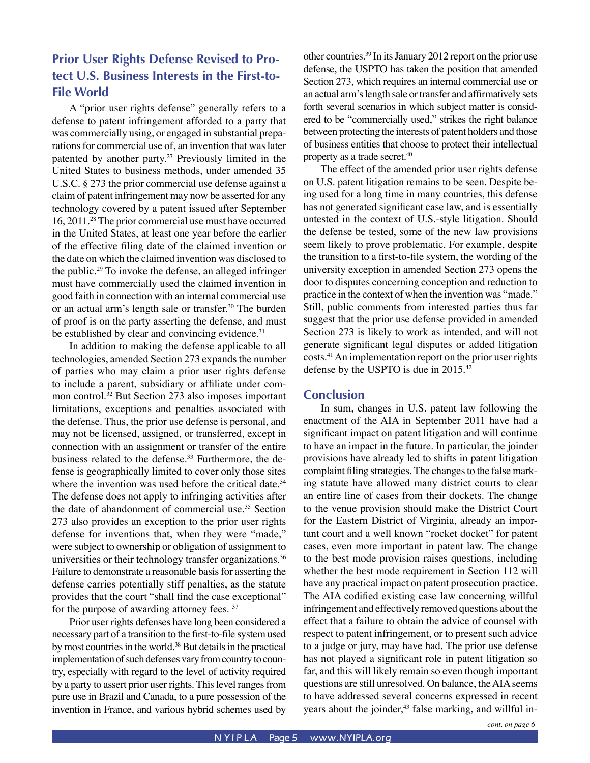## **Prior User Rights Defense Revised to Protect U.S. Business Interests in the First-to-File World**

 A "prior user rights defense" generally refers to a defense to patent infringement afforded to a party that was commercially using, or engaged in substantial preparations for commercial use of, an invention that was later patented by another party.<sup>27</sup> Previously limited in the United States to business methods, under amended 35 U.S.C. § 273 the prior commercial use defense against a claim of patent infringement may now be asserted for any technology covered by a patent issued after September 16, 2011.28 The prior commercial use must have occurred in the United States, at least one year before the earlier of the effective filing date of the claimed invention or the date on which the claimed invention was disclosed to the public.29 To invoke the defense, an alleged infringer must have commercially used the claimed invention in good faith in connection with an internal commercial use or an actual arm's length sale or transfer.30 The burden of proof is on the party asserting the defense, and must be established by clear and convincing evidence.<sup>31</sup>

 In addition to making the defense applicable to all technologies, amended Section 273 expands the number of parties who may claim a prior user rights defense to include a parent, subsidiary or affiliate under common control.32 But Section 273 also imposes important limitations, exceptions and penalties associated with the defense. Thus, the prior use defense is personal, and may not be licensed, assigned, or transferred, except in connection with an assignment or transfer of the entire business related to the defense.<sup>33</sup> Furthermore, the defense is geographically limited to cover only those sites where the invention was used before the critical date.<sup>34</sup> The defense does not apply to infringing activities after the date of abandonment of commercial use.<sup>35</sup> Section 273 also provides an exception to the prior user rights defense for inventions that, when they were "made," were subject to ownership or obligation of assignment to universities or their technology transfer organizations.<sup>36</sup> Failure to demonstrate a reasonable basis for asserting the defense carries potentially stiff penalties, as the statute provides that the court "shall find the case exceptional" for the purpose of awarding attorney fees. 37

 Prior user rights defenses have long been considered a necessary part of a transition to the first-to-file system used by most countries in the world.<sup>38</sup> But details in the practical implementation of such defenses vary from country to country, especially with regard to the level of activity required by a party to assert prior user rights. This level ranges from pure use in Brazil and Canada, to a pure possession of the invention in France, and various hybrid schemes used by other countries.39 In its January 2012 report on the prior use defense, the USPTO has taken the position that amended Section 273, which requires an internal commercial use or an actual arm's length sale or transfer and affirmatively sets forth several scenarios in which subject matter is considered to be "commercially used," strikes the right balance between protecting the interests of patent holders and those of business entities that choose to protect their intellectual property as a trade secret.40

 The effect of the amended prior user rights defense on U.S. patent litigation remains to be seen. Despite being used for a long time in many countries, this defense has not generated significant case law, and is essentially untested in the context of U.S.-style litigation. Should the defense be tested, some of the new law provisions seem likely to prove problematic. For example, despite the transition to a first-to-file system, the wording of the university exception in amended Section 273 opens the door to disputes concerning conception and reduction to practice in the context of when the invention was "made." Still, public comments from interested parties thus far suggest that the prior use defense provided in amended Section 273 is likely to work as intended, and will not generate significant legal disputes or added litigation costs.41 An implementation report on the prior user rights defense by the USPTO is due in 2015.42

## **Conclusion**

 In sum, changes in U.S. patent law following the enactment of the AIA in September 2011 have had a significant impact on patent litigation and will continue to have an impact in the future. In particular, the joinder provisions have already led to shifts in patent litigation complaint filing strategies. The changes to the false marking statute have allowed many district courts to clear an entire line of cases from their dockets. The change to the venue provision should make the District Court for the Eastern District of Virginia, already an important court and a well known "rocket docket" for patent cases, even more important in patent law. The change to the best mode provision raises questions, including whether the best mode requirement in Section 112 will have any practical impact on patent prosecution practice. The AIA codified existing case law concerning willful infringement and effectively removed questions about the effect that a failure to obtain the advice of counsel with respect to patent infringement, or to present such advice to a judge or jury, may have had. The prior use defense has not played a significant role in patent litigation so far, and this will likely remain so even though important questions are still unresolved. On balance, the AIA seems to have addressed several concerns expressed in recent years about the joinder,<sup>43</sup> false marking, and willful in-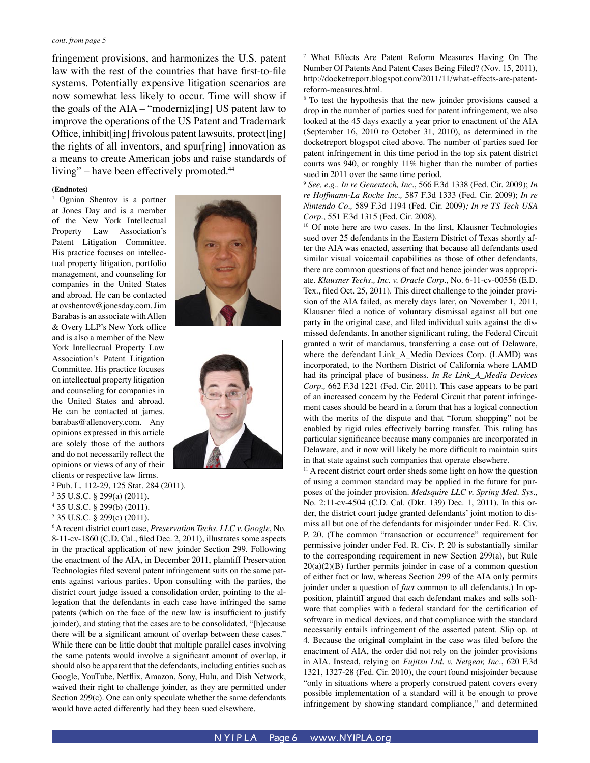fringement provisions, and harmonizes the U.S. patent law with the rest of the countries that have first-to-file systems. Potentially expensive litigation scenarios are now somewhat less likely to occur. Time will show if the goals of the AIA – "moderniz[ing] US patent law to improve the operations of the US Patent and Trademark Office, inhibit[ing] frivolous patent lawsuits, protect[ing] the rights of all inventors, and spur[ring] innovation as a means to create American jobs and raise standards of living" – have been effectively promoted.<sup>44</sup>

## **(Endnotes)**

<sup>1</sup> Ognian Shentov is a partner at Jones Day and is a member of the New York Intellectual Property Law Association's Patent Litigation Committee. His practice focuses on intellectual property litigation, portfolio management, and counseling for companies in the United States and abroad. He can be contacted at ovshentov@jonesday.com. Jim Barabas is an associate with Allen & Overy LLP's New York office and is also a member of the New York Intellectual Property Law Association's Patent Litigation Committee. His practice focuses on intellectual property litigation and counseling for companies in the United States and abroad. He can be contacted at james. barabas@allenovery.com. Any opinions expressed in this article are solely those of the authors and do not necessarily reflect the opinions or views of any of their clients or respective law firms.

- 2 Pub. L. 112-29, 125 Stat. 284 (2011).
- 3 35 U.S.C. § 299(a) (2011).
- 4 35 U.S.C. § 299(b) (2011).
- 5 35 U.S.C. § 299(c) (2011).

6 A recent district court case, *Preservation Techs. LLC v. Google*, No. 8-11-cv-1860 (C.D. Cal., filed Dec. 2, 2011), illustrates some aspects in the practical application of new joinder Section 299. Following the enactment of the AIA, in December 2011, plaintiff Preservation Technologies filed several patent infringement suits on the same patents against various parties. Upon consulting with the parties, the district court judge issued a consolidation order, pointing to the allegation that the defendants in each case have infringed the same patents (which on the face of the new law is insufficient to justify joinder), and stating that the cases are to be consolidated, "[b]ecause there will be a significant amount of overlap between these cases." While there can be little doubt that multiple parallel cases involving the same patents would involve a significant amount of overlap, it should also be apparent that the defendants, including entities such as Google, YouTube, Netflix, Amazon, Sony, Hulu, and Dish Network, waived their right to challenge joinder, as they are permitted under Section 299(c). One can only speculate whether the same defendants would have acted differently had they been sued elsewhere.

7 What Effects Are Patent Reform Measures Having On The Number Of Patents And Patent Cases Being Filed? (Nov. 15, 2011), http://docketreport.blogspot.com/2011/11/what-effects-are-patentreform-measures.html.

<sup>8</sup> To test the hypothesis that the new joinder provisions caused a drop in the number of parties sued for patent infringement, we also looked at the 45 days exactly a year prior to enactment of the AIA (September 16, 2010 to October 31, 2010), as determined in the docketreport blogspot cited above. The number of parties sued for patent infringement in this time period in the top six patent district courts was 940, or roughly 11% higher than the number of parties sued in 2011 over the same time period.

<sup>9</sup> *See, e.g., In re Genentech, Inc.*, 566 F.3d 1338 (Fed. Cir. 2009); *In re Hoffmann-La Roche Inc.,* 587 F.3d 1333 (Fed. Cir. 2009); *In re Nintendo Co.,* 589 F.3d 1194 (Fed. Cir. 2009)*; In re TS Tech USA Corp.*, 551 F.3d 1315 (Fed. Cir. 2008).

<sup>10</sup> Of note here are two cases. In the first, Klausner Technologies sued over 25 defendants in the Eastern District of Texas shortly after the AIA was enacted, asserting that because all defendants used similar visual voicemail capabilities as those of other defendants, there are common questions of fact and hence joinder was appropriate. *Klausner Techs., Inc. v. Oracle Corp.*, No. 6-11-cv-00556 (E.D. Tex., filed Oct. 25, 2011). This direct challenge to the joinder provision of the AIA failed, as merely days later, on November 1, 2011, Klausner filed a notice of voluntary dismissal against all but one party in the original case, and filed individual suits against the dismissed defendants. In another significant ruling, the Federal Circuit granted a writ of mandamus, transferring a case out of Delaware, where the defendant Link\_A\_Media Devices Corp. (LAMD) was incorporated, to the Northern District of California where LAMD had its principal place of business. *In Re Link\_A\_Media Devices Corp.,* 662 F.3d 1221 (Fed. Cir. 2011). This case appears to be part of an increased concern by the Federal Circuit that patent infringement cases should be heard in a forum that has a logical connection with the merits of the dispute and that "forum shopping" not be enabled by rigid rules effectively barring transfer. This ruling has particular significance because many companies are incorporated in Delaware, and it now will likely be more difficult to maintain suits in that state against such companies that operate elsewhere.

<sup>11</sup> A recent district court order sheds some light on how the question of using a common standard may be applied in the future for purposes of the joinder provision. *Medsquire LLC v. Spring Med. Sys.*, No. 2:11-cv-4504 (C.D. Cal. (Dkt. 139) Dec. 1, 2011). In this order, the district court judge granted defendants' joint motion to dismiss all but one of the defendants for misjoinder under Fed. R. Civ. P. 20. (The common "transaction or occurrence" requirement for permissive joinder under Fed. R. Civ. P. 20 is substantially similar to the corresponding requirement in new Section 299(a), but Rule 20(a)(2)(B) further permits joinder in case of a common question of either fact or law, whereas Section 299 of the AIA only permits joinder under a question of *fact* common to all defendants.) In opposition, plaintiff argued that each defendant makes and sells software that complies with a federal standard for the certification of software in medical devices, and that compliance with the standard necessarily entails infringement of the asserted patent. Slip op. at 4. Because the original complaint in the case was filed before the enactment of AIA, the order did not rely on the joinder provisions in AIA. Instead, relying on *Fujitsu Ltd. v. Netgear, Inc.*, 620 F.3d 1321, 1327-28 (Fed. Cir. 2010), the court found misjoinder because "only in situations where a properly construed patent covers every possible implementation of a standard will it be enough to prove infringement by showing standard compliance," and determined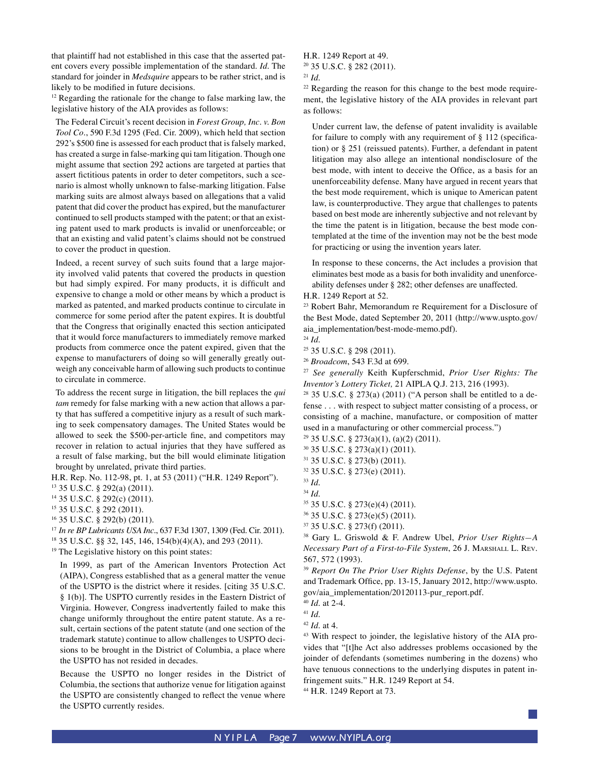that plaintiff had not established in this case that the asserted patent covers every possible implementation of the standard. *Id*. The standard for joinder in *Medsquire* appears to be rather strict, and is likely to be modified in future decisions.

<sup>12</sup> Regarding the rationale for the change to false marking law, the legislative history of the AIA provides as follows:

The Federal Circuit's recent decision in *Forest Group, Inc. v. Bon Tool Co.*, 590 F.3d 1295 (Fed. Cir. 2009), which held that section 292's \$500 fine is assessed for each product that is falsely marked, has created a surge in false-marking qui tam litigation. Though one might assume that section 292 actions are targeted at parties that assert fictitious patents in order to deter competitors, such a scenario is almost wholly unknown to false-marking litigation. False marking suits are almost always based on allegations that a valid patent that did cover the product has expired, but the manufacturer continued to sell products stamped with the patent; or that an existing patent used to mark products is invalid or unenforceable; or that an existing and valid patent's claims should not be construed to cover the product in question.

Indeed, a recent survey of such suits found that a large majority involved valid patents that covered the products in question but had simply expired. For many products, it is difficult and expensive to change a mold or other means by which a product is marked as patented, and marked products continue to circulate in commerce for some period after the patent expires. It is doubtful that the Congress that originally enacted this section anticipated that it would force manufacturers to immediately remove marked products from commerce once the patent expired, given that the expense to manufacturers of doing so will generally greatly outweigh any conceivable harm of allowing such products to continue to circulate in commerce.

To address the recent surge in litigation, the bill replaces the *qui tam* remedy for false marking with a new action that allows a party that has suffered a competitive injury as a result of such marking to seek compensatory damages. The United States would be allowed to seek the \$500-per-article fine, and competitors may recover in relation to actual injuries that they have suffered as a result of false marking, but the bill would eliminate litigation brought by unrelated, private third parties.

H.R. Rep. No. 112-98, pt. 1, at 53 (2011) ("H.R. 1249 Report").

13 35 U.S.C. § 292(a) (2011).

14 35 U.S.C. § 292(c) (2011).

15 35 U.S.C. § 292 (2011).

- 16 35 U.S.C. § 292(b) (2011).
- <sup>17</sup> *In re BP Lubricants USA Inc.*, 637 F.3d 1307, 1309 (Fed. Cir. 2011).
- 18 35 U.S.C. §§ 32, 145, 146, 154(b)(4)(A), and 293 (2011).

<sup>19</sup> The Legislative history on this point states:

In 1999, as part of the American Inventors Protection Act (AIPA), Congress established that as a general matter the venue of the USPTO is the district where it resides. [citing 35 U.S.C. § 1(b)]. The USPTO currently resides in the Eastern District of Virginia. However, Congress inadvertently failed to make this change uniformly throughout the entire patent statute. As a result, certain sections of the patent statute (and one section of the trademark statute) continue to allow challenges to USPTO decisions to be brought in the District of Columbia, a place where the USPTO has not resided in decades.

Because the USPTO no longer resides in the District of Columbia, the sections that authorize venue for litigation against the USPTO are consistently changed to reflect the venue where the USPTO currently resides.

#### H.R. 1249 Report at 49.

20 35 U.S.C. § 282 (2011).

```
21 Id.
```
 $22$  Regarding the reason for this change to the best mode requirement, the legislative history of the AIA provides in relevant part as follows:

Under current law, the defense of patent invalidity is available for failure to comply with any requirement of § 112 (specification) or § 251 (reissued patents). Further, a defendant in patent litigation may also allege an intentional nondisclosure of the best mode, with intent to deceive the Office, as a basis for an unenforceability defense. Many have argued in recent years that the best mode requirement, which is unique to American patent law, is counterproductive. They argue that challenges to patents based on best mode are inherently subjective and not relevant by the time the patent is in litigation, because the best mode contemplated at the time of the invention may not be the best mode for practicing or using the invention years later.

In response to these concerns, the Act includes a provision that eliminates best mode as a basis for both invalidity and unenforceability defenses under § 282; other defenses are unaffected.

H.R. 1249 Report at 52.

<sup>23</sup> Robert Bahr, Memorandum re Requirement for a Disclosure of the Best Mode, dated September 20, 2011 (http://www.uspto.gov/ aia\_implementation/best-mode-memo.pdf).

<sup>24</sup> *Id.*

25 35 U.S.C. § 298 (2011).

<sup>26</sup> *Broadcom*, 543 F.3d at 699.

<sup>27</sup> *See generally* Keith Kupferschmid, *Prior User Rights: The Inventor's Lottery Ticket,* 21 AIPLA Q.J. 213, 216 (1993).

 $28$  35 U.S.C. § 273(a) (2011) ("A person shall be entitled to a defense . . . with respect to subject matter consisting of a process, or consisting of a machine, manufacture, or composition of matter used in a manufacturing or other commercial process.")

29 35 U.S.C. § 273(a)(1), (a)(2) (2011).

30 35 U.S.C. § 273(a)(1) (2011).

31 35 U.S.C. § 273(b) (2011).

32 35 U.S.C. § 273(e) (2011).

36 35 U.S.C. § 273(e)(5) (2011).

37 35 U.S.C. § 273(f) (2011).

38 Gary L. Griswold & F. Andrew Ubel, *Prior User Rights—A Necessary Part of a First-to-File System*, 26 J. MARSHALL L. REV. 567, 572 (1993).

<sup>39</sup> *Report On The Prior User Rights Defense*, by the U.S. Patent and Trademark Office, pp. 13-15, January 2012, http://www.uspto. gov/aia\_implementation/20120113-pur\_report.pdf.

43 With respect to joinder, the legislative history of the AIA provides that "[t]he Act also addresses problems occasioned by the joinder of defendants (sometimes numbering in the dozens) who have tenuous connections to the underlying disputes in patent infringement suits." H.R. 1249 Report at 54.

<sup>44</sup> H.R. 1249 Report at 73.

<sup>33</sup> *Id*.

<sup>&</sup>lt;sup>35</sup> 35 U.S.C. § 273(e)(4) (2011).

<sup>40</sup> *Id*. at 2-4. 41 *Id*. 42 *Id*. at 4.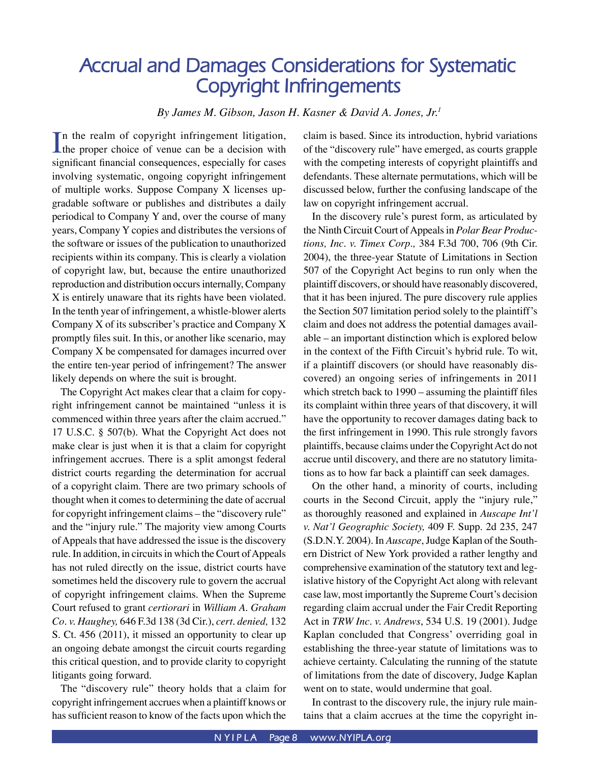# **Accrual and Damages Considerations for Systematic Copyright Infringements**

*By James M. Gibson, Jason H. Kasner & David A. Jones, Jr.1*

In the realm of copyright infringement litigation,<br>the proper choice of venue can be a decision with n the realm of copyright infringement litigation, significant financial consequences, especially for cases involving systematic, ongoing copyright infringement of multiple works. Suppose Company X licenses upgradable software or publishes and distributes a daily periodical to Company Y and, over the course of many years, Company Y copies and distributes the versions of the software or issues of the publication to unauthorized recipients within its company. This is clearly a violation of copyright law, but, because the entire unauthorized reproduction and distribution occurs internally, Company X is entirely unaware that its rights have been violated. In the tenth year of infringement, a whistle-blower alerts Company X of its subscriber's practice and Company X promptly files suit. In this, or another like scenario, may Company X be compensated for damages incurred over the entire ten-year period of infringement? The answer likely depends on where the suit is brought.

The Copyright Act makes clear that a claim for copyright infringement cannot be maintained "unless it is commenced within three years after the claim accrued." 17 U.S.C. § 507(b). What the Copyright Act does not make clear is just when it is that a claim for copyright infringement accrues. There is a split amongst federal district courts regarding the determination for accrual of a copyright claim. There are two primary schools of thought when it comes to determining the date of accrual for copyright infringement claims – the "discovery rule" and the "injury rule." The majority view among Courts of Appeals that have addressed the issue is the discovery rule. In addition, in circuits in which the Court of Appeals has not ruled directly on the issue, district courts have sometimes held the discovery rule to govern the accrual of copyright infringement claims. When the Supreme Court refused to grant *certiorari* in *William A. Graham Co. v. Haughey,* 646 F.3d 138 (3d Cir.), *cert. denied,* 132 S. Ct. 456 (2011), it missed an opportunity to clear up an ongoing debate amongst the circuit courts regarding this critical question, and to provide clarity to copyright litigants going forward.

The "discovery rule" theory holds that a claim for copyright infringement accrues when a plaintiff knows or has sufficient reason to know of the facts upon which the claim is based. Since its introduction, hybrid variations of the "discovery rule" have emerged, as courts grapple with the competing interests of copyright plaintiffs and defendants. These alternate permutations, which will be discussed below, further the confusing landscape of the law on copyright infringement accrual.

In the discovery rule's purest form, as articulated by the Ninth Circuit Court of Appeals in *Polar Bear Productions, Inc. v. Timex Corp.,* 384 F.3d 700, 706 (9th Cir. 2004), the three-year Statute of Limitations in Section 507 of the Copyright Act begins to run only when the plaintiff discovers, or should have reasonably discovered, that it has been injured. The pure discovery rule applies the Section 507 limitation period solely to the plaintiff's claim and does not address the potential damages available – an important distinction which is explored below in the context of the Fifth Circuit's hybrid rule. To wit, if a plaintiff discovers (or should have reasonably discovered) an ongoing series of infringements in 2011 which stretch back to 1990 – assuming the plaintiff files its complaint within three years of that discovery, it will have the opportunity to recover damages dating back to the first infringement in 1990. This rule strongly favors plaintiffs, because claims under the Copyright Act do not accrue until discovery, and there are no statutory limitations as to how far back a plaintiff can seek damages.

On the other hand, a minority of courts, including courts in the Second Circuit, apply the "injury rule," as thoroughly reasoned and explained in *Auscape Int'l v. Nat'l Geographic Society,* 409 F. Supp. 2d 235, 247 (S.D.N.Y. 2004). In *Auscape*, Judge Kaplan of the Southern District of New York provided a rather lengthy and comprehensive examination of the statutory text and legislative history of the Copyright Act along with relevant case law, most importantly the Supreme Court's decision regarding claim accrual under the Fair Credit Reporting Act in *TRW Inc. v. Andrews*, 534 U.S. 19 (2001). Judge Kaplan concluded that Congress' overriding goal in establishing the three-year statute of limitations was to achieve certainty. Calculating the running of the statute of limitations from the date of discovery, Judge Kaplan went on to state, would undermine that goal.

In contrast to the discovery rule, the injury rule maintains that a claim accrues at the time the copyright in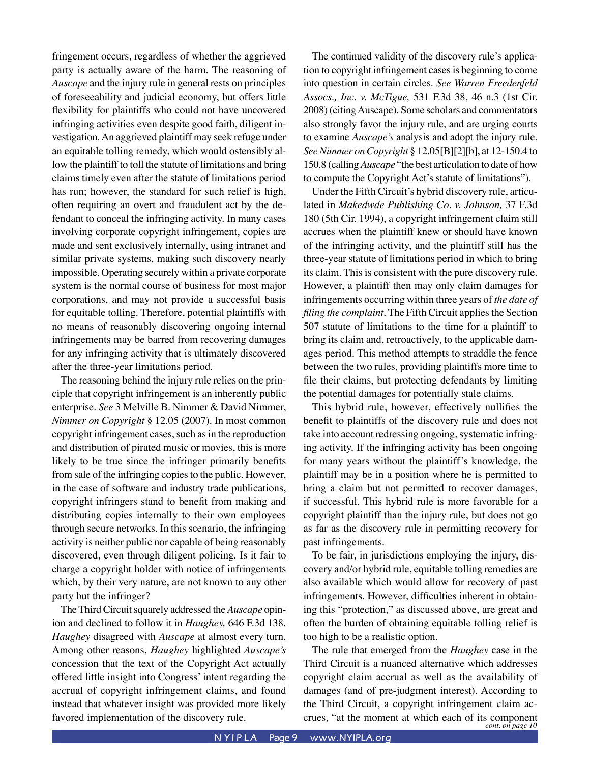fringement occurs, regardless of whether the aggrieved party is actually aware of the harm. The reasoning of *Auscape* and the injury rule in general rests on principles of foreseeability and judicial economy, but offers little flexibility for plaintiffs who could not have uncovered infringing activities even despite good faith, diligent investigation. An aggrieved plaintiff may seek refuge under an equitable tolling remedy, which would ostensibly allow the plaintiff to toll the statute of limitations and bring claims timely even after the statute of limitations period has run; however, the standard for such relief is high, often requiring an overt and fraudulent act by the defendant to conceal the infringing activity. In many cases involving corporate copyright infringement, copies are made and sent exclusively internally, using intranet and similar private systems, making such discovery nearly impossible. Operating securely within a private corporate system is the normal course of business for most major corporations, and may not provide a successful basis for equitable tolling. Therefore, potential plaintiffs with no means of reasonably discovering ongoing internal infringements may be barred from recovering damages for any infringing activity that is ultimately discovered after the three-year limitations period.

The reasoning behind the injury rule relies on the principle that copyright infringement is an inherently public enterprise. *See* 3 Melville B. Nimmer & David Nimmer, *Nimmer on Copyright* § 12.05 (2007). In most common copyright infringement cases, such as in the reproduction and distribution of pirated music or movies, this is more likely to be true since the infringer primarily benefits from sale of the infringing copies to the public. However, in the case of software and industry trade publications, copyright infringers stand to benefit from making and distributing copies internally to their own employees through secure networks. In this scenario, the infringing activity is neither public nor capable of being reasonably discovered, even through diligent policing. Is it fair to charge a copyright holder with notice of infringements which, by their very nature, are not known to any other party but the infringer?

The Third Circuit squarely addressed the *Auscape* opinion and declined to follow it in *Haughey,* 646 F.3d 138. *Haughey* disagreed with *Auscape* at almost every turn. Among other reasons, *Haughey* highlighted *Auscape's* concession that the text of the Copyright Act actually offered little insight into Congress' intent regarding the accrual of copyright infringement claims, and found instead that whatever insight was provided more likely favored implementation of the discovery rule.

The continued validity of the discovery rule's application to copyright infringement cases is beginning to come into question in certain circles. *See Warren Freedenfeld Assocs., Inc. v. McTigue,* 531 F.3d 38, 46 n.3 (1st Cir. 2008) (citing Auscape). Some scholars and commentators also strongly favor the injury rule, and are urging courts to examine *Auscape's* analysis and adopt the injury rule. *See Nimmer on Copyright* § 12.05[B][2][b], at 12-150.4 to 150.8 (calling *Auscape* "the best articulation to date of how to compute the Copyright Act's statute of limitations").

Under the Fifth Circuit's hybrid discovery rule, articulated in *Makedwde Publishing Co. v. Johnson,* 37 F.3d 180 (5th Cir. 1994), a copyright infringement claim still accrues when the plaintiff knew or should have known of the infringing activity, and the plaintiff still has the three-year statute of limitations period in which to bring its claim. This is consistent with the pure discovery rule. However, a plaintiff then may only claim damages for infringements occurring within three years of *the date of filing the complaint.* The Fifth Circuit applies the Section 507 statute of limitations to the time for a plaintiff to bring its claim and, retroactively, to the applicable damages period. This method attempts to straddle the fence between the two rules, providing plaintiffs more time to file their claims, but protecting defendants by limiting the potential damages for potentially stale claims.

This hybrid rule, however, effectively nullifies the benefit to plaintiffs of the discovery rule and does not take into account redressing ongoing, systematic infringing activity. If the infringing activity has been ongoing for many years without the plaintiff's knowledge, the plaintiff may be in a position where he is permitted to bring a claim but not permitted to recover damages, if successful. This hybrid rule is more favorable for a copyright plaintiff than the injury rule, but does not go as far as the discovery rule in permitting recovery for past infringements.

To be fair, in jurisdictions employing the injury, discovery and/or hybrid rule, equitable tolling remedies are also available which would allow for recovery of past infringements. However, difficulties inherent in obtaining this "protection," as discussed above, are great and often the burden of obtaining equitable tolling relief is too high to be a realistic option.

The rule that emerged from the *Haughey* case in the Third Circuit is a nuanced alternative which addresses copyright claim accrual as well as the availability of damages (and of pre-judgment interest). According to the Third Circuit, a copyright infringement claim accrues, "at the moment at which each of its component *cont. on page 10*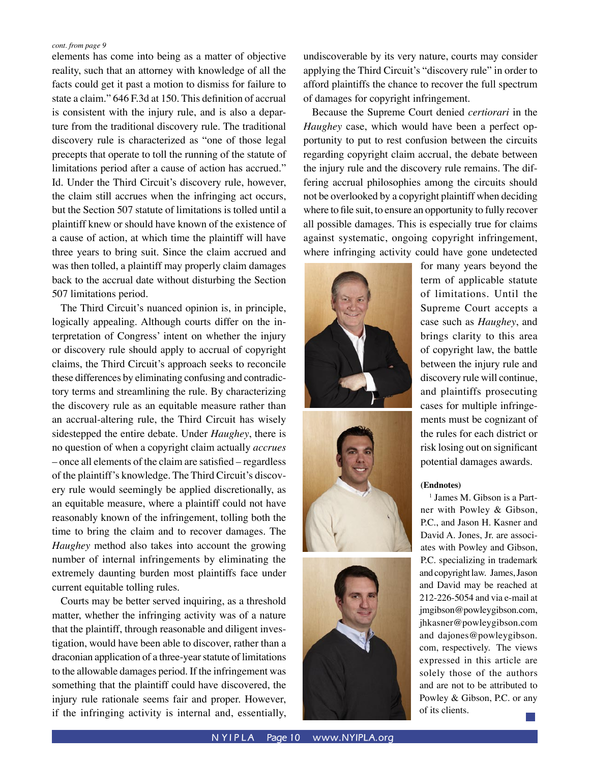elements has come into being as a matter of objective reality, such that an attorney with knowledge of all the facts could get it past a motion to dismiss for failure to state a claim." 646 F.3d at 150. This definition of accrual is consistent with the injury rule, and is also a departure from the traditional discovery rule. The traditional discovery rule is characterized as "one of those legal precepts that operate to toll the running of the statute of limitations period after a cause of action has accrued." Id. Under the Third Circuit's discovery rule, however, the claim still accrues when the infringing act occurs, but the Section 507 statute of limitations is tolled until a plaintiff knew or should have known of the existence of a cause of action, at which time the plaintiff will have three years to bring suit. Since the claim accrued and was then tolled, a plaintiff may properly claim damages back to the accrual date without disturbing the Section 507 limitations period.

The Third Circuit's nuanced opinion is, in principle, logically appealing. Although courts differ on the interpretation of Congress' intent on whether the injury or discovery rule should apply to accrual of copyright claims, the Third Circuit's approach seeks to reconcile these differences by eliminating confusing and contradictory terms and streamlining the rule. By characterizing the discovery rule as an equitable measure rather than an accrual-altering rule, the Third Circuit has wisely sidestepped the entire debate. Under *Haughey*, there is no question of when a copyright claim actually *accrues* – once all elements of the claim are satisfied – regardless of the plaintiff's knowledge. The Third Circuit's discovery rule would seemingly be applied discretionally, as an equitable measure, where a plaintiff could not have reasonably known of the infringement, tolling both the time to bring the claim and to recover damages. The *Haughey* method also takes into account the growing number of internal infringements by eliminating the extremely daunting burden most plaintiffs face under current equitable tolling rules.

Courts may be better served inquiring, as a threshold matter, whether the infringing activity was of a nature that the plaintiff, through reasonable and diligent investigation, would have been able to discover, rather than a draconian application of a three-year statute of limitations to the allowable damages period. If the infringement was something that the plaintiff could have discovered, the injury rule rationale seems fair and proper. However, if the infringing activity is internal and, essentially,

undiscoverable by its very nature, courts may consider applying the Third Circuit's "discovery rule" in order to afford plaintiffs the chance to recover the full spectrum of damages for copyright infringement.

Because the Supreme Court denied *certiorari* in the *Haughey* case, which would have been a perfect opportunity to put to rest confusion between the circuits regarding copyright claim accrual, the debate between the injury rule and the discovery rule remains. The differing accrual philosophies among the circuits should not be overlooked by a copyright plaintiff when deciding where to file suit, to ensure an opportunity to fully recover all possible damages. This is especially true for claims against systematic, ongoing copyright infringement, where infringing activity could have gone undetected







for many years beyond the term of applicable statute of limitations. Until the Supreme Court accepts a case such as *Haughey*, and brings clarity to this area of copyright law, the battle between the injury rule and discovery rule will continue, and plaintiffs prosecuting cases for multiple infringements must be cognizant of the rules for each district or risk losing out on significant potential damages awards.

### **(Endnotes)**

<sup>1</sup> James M. Gibson is a Partner with Powley & Gibson, P.C., and Jason H. Kasner and David A. Jones, Jr. are associates with Powley and Gibson, P.C. specializing in trademark and copyright law. James, Jason and David may be reached at 212-226-5054 and via e-mail at jmgibson@powleygibson.com, jhkasner@powleygibson.com and dajones@powleygibson. com, respectively. The views expressed in this article are solely those of the authors and are not to be attributed to Powley & Gibson, P.C. or any of its clients.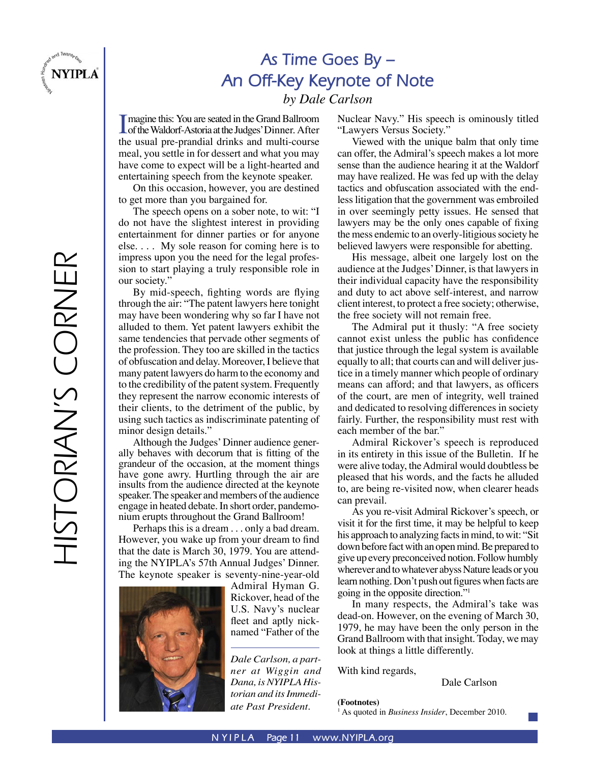

# **As Time Goes By – An Off-Key Keynote of Note** *by Dale Carlson*

Imagine this: You are seated in the Grand Ballroom<br>of the Waldorf-Astoria at the Judges' Dinner. After magine this: You are seated in the Grand Ballroom the usual pre-prandial drinks and multi-course meal, you settle in for dessert and what you may have come to expect will be a light-hearted and entertaining speech from the keynote speaker.

 On this occasion, however, you are destined to get more than you bargained for.

 The speech opens on a sober note, to wit: "I do not have the slightest interest in providing entertainment for dinner parties or for anyone else. . . . My sole reason for coming here is to impress upon you the need for the legal profession to start playing a truly responsible role in our society."

 By mid-speech, fighting words are flying through the air: "The patent lawyers here tonight may have been wondering why so far I have not alluded to them. Yet patent lawyers exhibit the same tendencies that pervade other segments of the profession. They too are skilled in the tactics of obfuscation and delay. Moreover, I believe that many patent lawyers do harm to the economy and to the credibility of the patent system. Frequently they represent the narrow economic interests of their clients, to the detriment of the public, by using such tactics as indiscriminate patenting of minor design details."

Although the Judges' Dinner audience generally behaves with decorum that is fitting of the grandeur of the occasion, at the moment things have gone awry. Hurtling through the air are insults from the audience directed at the keynote speaker. The speaker and members of the audience<br>engage in heated debate. In short order, pandemonium erupts throughout the Grand Ballroom!

 Perhaps this is a dream . . . only a bad dream. However, you wake up from your dream to find that the date is March 30, 1979. You are attending the NYIPLA's 57th Annual Judges' Dinner. The keynote speaker is seventy-nine-year-old



Admiral Hyman G. Rickover, head of the U.S. Navy's nuclear fleet and aptly nicknamed "Father of the

*Dale Carlson, a partner at Wiggin and Dana, isNYIPLA Historian and its Immediate Past President.*

Nuclear Navy." His speech is ominously titled "Lawyers Versus Society."

 Viewed with the unique balm that only time can offer, the Admiral's speech makes a lot more sense than the audience hearing it at the Waldorf may have realized. He was fed up with the delay tactics and obfuscation associated with the endless litigation that the government was embroiled in over seemingly petty issues. He sensed that lawyers may be the only ones capable of fixing the mess endemic to an overly-litigious society he believed lawyers were responsible for abetting.

 His message, albeit one largely lost on the audience at the Judges' Dinner, is that lawyers in their individual capacity have the responsibility and duty to act above self-interest, and narrow client interest, to protect a free society; otherwise, the free society will not remain free.

 The Admiral put it thusly: "A free society cannot exist unless the public has confidence that justice through the legal system is available equally to all; that courts can and will deliver justice in a timely manner which people of ordinary means can afford; and that lawyers, as officers of the court, are men of integrity, well trained and dedicated to resolving differences in society fairly. Further, the responsibility must rest with each member of the bar."

 Admiral Rickover's speech is reproduced in its entirety in this issue of the Bulletin. If he were alive today, the Admiral would doubtless be pleased that his words, and the facts he alluded to, are being re-visited now, when clearer heads can prevail.

 As you re-visit Admiral Rickover's speech, or visit it for the first time, it may be helpful to keep his approach to analyzing facts in mind, to wit: "Sit down before fact with an open mind. Be prepared to give up every preconceived notion. Follow humbly wherever and to whatever abyss Nature leads or you learn nothing. Don't push out figures when facts are going in the opposite direction."1

 In many respects, the Admiral's take was dead-on. However, on the evening of March 30, 1979, he may have been the only person in the Grand Ballroom with that insight. Today, we may look at things a little differently.

With kind regards,

Dale Carlson

**(Footnotes)**

<sup>1</sup> As quoted in *Business Insider*, December 2010.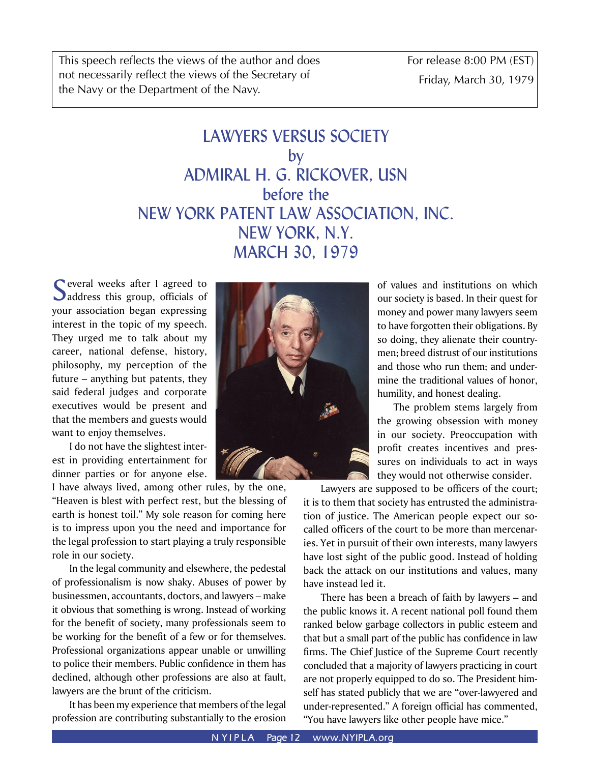This speech reflects the views of the author and does not necessarily reflect the views of the Secretary of the Navy or the Department of the Navy.

For release 8:00 PM (EST) Friday, March 30, 1979

# LAWYERS VERSUS SOCIETY by ADMIRAL H. G. RICKOVER, USN before the NEW YORK PATENT LAW ASSOCIATION, INC. NEW YORK, N.Y. MARCH 30, 1979

Several weeks after I agreed to<br>Saddress this group, officials of your association began expressing interest in the topic of my speech. They urged me to talk about my career, national defense, history, philosophy, my perception of the future – anything but patents, they said federal judges and corporate executives would be present and that the members and guests would want to enjoy themselves.

 I do not have the slightest interest in providing entertainment for dinner parties or for anyone else.

I have always lived, among other rules, by the one, "Heaven is blest with perfect rest, but the blessing of earth is honest toil." My sole reason for coming here is to impress upon you the need and importance for the legal profession to start playing a truly responsible role in our society.

 In the legal community and elsewhere, the pedestal of professionalism is now shaky. Abuses of power by businessmen, accountants, doctors, and lawyers – make it obvious that something is wrong. Instead of working for the benefit of society, many professionals seem to be working for the benefit of a few or for themselves. Professional organizations appear unable or unwilling to police their members. Public confidence in them has declined, although other professions are also at fault, lawyers are the brunt of the criticism.

 It has been my experience that members of the legal profession are contributing substantially to the erosion



of values and institutions on which our society is based. In their quest for money and power many lawyers seem to have forgotten their obligations. By so doing, they alienate their countrymen; breed distrust of our institutions and those who run them; and undermine the traditional values of honor, humility, and honest dealing.

 The problem stems largely from the growing obsession with money in our society. Preoccupation with profit creates incentives and pressures on individuals to act in ways they would not otherwise consider.

Lawyers are supposed to be officers of the court;

it is to them that society has entrusted the administration of justice. The American people expect our socalled officers of the court to be more than mercenaries. Yet in pursuit of their own interests, many lawyers have lost sight of the public good. Instead of holding back the attack on our institutions and values, many have instead led it.

 There has been a breach of faith by lawyers – and the public knows it. A recent national poll found them ranked below garbage collectors in public esteem and that but a small part of the public has confidence in law firms. The Chief Justice of the Supreme Court recently concluded that a majority of lawyers practicing in court are not properly equipped to do so. The President himself has stated publicly that we are "over-lawyered and under-represented." A foreign official has commented, "You have lawyers like other people have mice."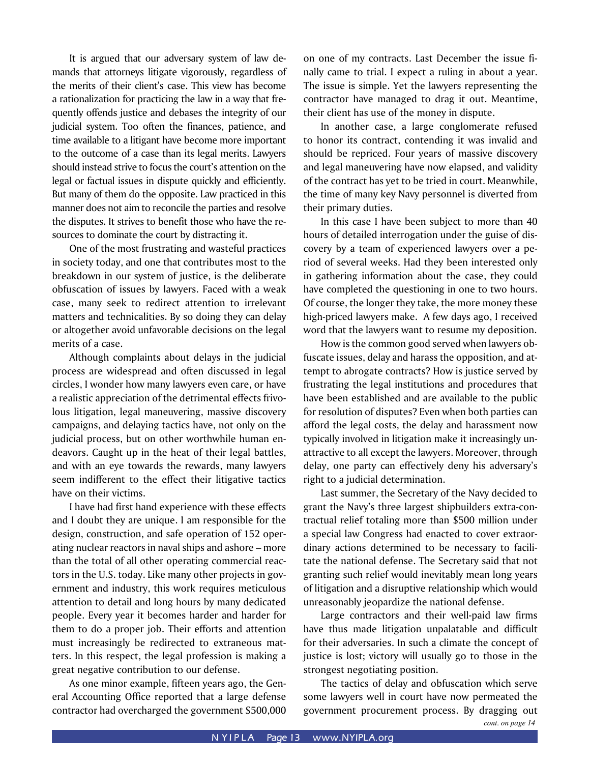It is argued that our adversary system of law demands that attorneys litigate vigorously, regardless of the merits of their client's case. This view has become a rationalization for practicing the law in a way that frequently offends justice and debases the integrity of our judicial system. Too often the finances, patience, and time available to a litigant have become more important to the outcome of a case than its legal merits. Lawyers should instead strive to focus the court's attention on the legal or factual issues in dispute quickly and efficiently. But many of them do the opposite. Law practiced in this manner does not aim to reconcile the parties and resolve the disputes. It strives to benefit those who have the resources to dominate the court by distracting it.

 One of the most frustrating and wasteful practices in society today, and one that contributes most to the breakdown in our system of justice, is the deliberate obfuscation of issues by lawyers. Faced with a weak case, many seek to redirect attention to irrelevant matters and technicalities. By so doing they can delay or altogether avoid unfavorable decisions on the legal merits of a case.

 Although complaints about delays in the judicial process are widespread and often discussed in legal circles, I wonder how many lawyers even care, or have a realistic appreciation of the detrimental effects frivolous litigation, legal maneuvering, massive discovery campaigns, and delaying tactics have, not only on the judicial process, but on other worthwhile human endeavors. Caught up in the heat of their legal battles, and with an eye towards the rewards, many lawyers seem indifferent to the effect their litigative tactics have on their victims.

 I have had first hand experience with these effects and I doubt they are unique. I am responsible for the design, construction, and safe operation of 152 operating nuclear reactors in naval ships and ashore – more than the total of all other operating commercial reactors in the U.S. today. Like many other projects in government and industry, this work requires meticulous attention to detail and long hours by many dedicated people. Every year it becomes harder and harder for them to do a proper job. Their efforts and attention must increasingly be redirected to extraneous matters. In this respect, the legal profession is making a great negative contribution to our defense.

 As one minor example, fifteen years ago, the General Accounting Office reported that a large defense contractor had overcharged the government \$500,000 on one of my contracts. Last December the issue finally came to trial. I expect a ruling in about a year. The issue is simple. Yet the lawyers representing the contractor have managed to drag it out. Meantime, their client has use of the money in dispute.

 In another case, a large conglomerate refused to honor its contract, contending it was invalid and should be repriced. Four years of massive discovery and legal maneuvering have now elapsed, and validity of the contract has yet to be tried in court. Meanwhile, the time of many key Navy personnel is diverted from their primary duties.

 In this case I have been subject to more than 40 hours of detailed interrogation under the guise of discovery by a team of experienced lawyers over a period of several weeks. Had they been interested only in gathering information about the case, they could have completed the questioning in one to two hours. Of course, the longer they take, the more money these high-priced lawyers make. A few days ago, I received word that the lawyers want to resume my deposition.

 How is the common good served when lawyers obfuscate issues, delay and harass the opposition, and attempt to abrogate contracts? How is justice served by frustrating the legal institutions and procedures that have been established and are available to the public for resolution of disputes? Even when both parties can afford the legal costs, the delay and harassment now typically involved in litigation make it increasingly unattractive to all except the lawyers. Moreover, through delay, one party can effectively deny his adversary's right to a judicial determination.

 Last summer, the Secretary of the Navy decided to grant the Navy's three largest shipbuilders extra-contractual relief totaling more than \$500 million under a special law Congress had enacted to cover extraordinary actions determined to be necessary to facilitate the national defense. The Secretary said that not granting such relief would inevitably mean long years of litigation and a disruptive relationship which would unreasonably jeopardize the national defense.

 Large contractors and their well-paid law firms have thus made litigation unpalatable and difficult for their adversaries. In such a climate the concept of justice is lost; victory will usually go to those in the strongest negotiating position.

 The tactics of delay and obfuscation which serve some lawyers well in court have now permeated the government procurement process. By dragging out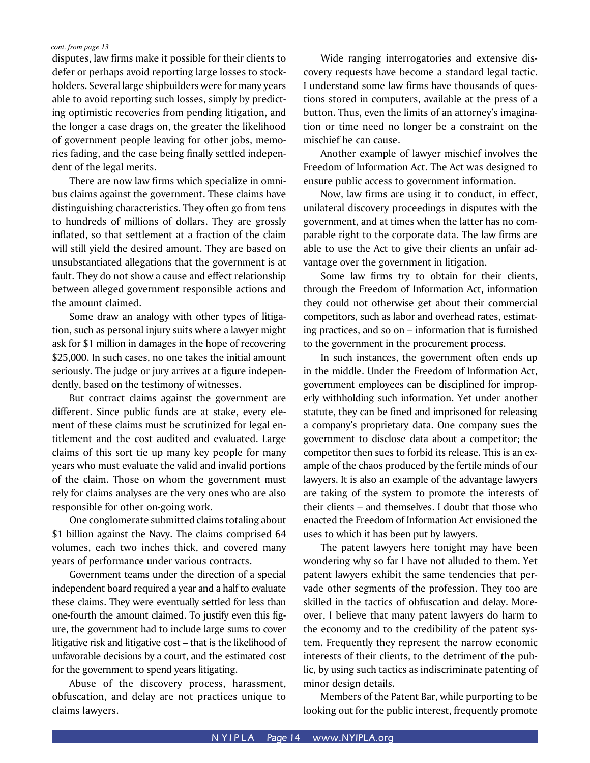disputes, law firms make it possible for their clients to defer or perhaps avoid reporting large losses to stockholders. Several large shipbuilders were for many years able to avoid reporting such losses, simply by predicting optimistic recoveries from pending litigation, and the longer a case drags on, the greater the likelihood of government people leaving for other jobs, memories fading, and the case being finally settled independent of the legal merits.

 There are now law firms which specialize in omnibus claims against the government. These claims have distinguishing characteristics. They often go from tens to hundreds of millions of dollars. They are grossly inflated, so that settlement at a fraction of the claim will still yield the desired amount. They are based on unsubstantiated allegations that the government is at fault. They do not show a cause and effect relationship between alleged government responsible actions and the amount claimed.

 Some draw an analogy with other types of litigation, such as personal injury suits where a lawyer might ask for \$1 million in damages in the hope of recovering \$25,000. In such cases, no one takes the initial amount seriously. The judge or jury arrives at a figure independently, based on the testimony of witnesses.

 But contract claims against the government are different. Since public funds are at stake, every element of these claims must be scrutinized for legal entitlement and the cost audited and evaluated. Large claims of this sort tie up many key people for many years who must evaluate the valid and invalid portions of the claim. Those on whom the government must rely for claims analyses are the very ones who are also responsible for other on-going work.

 One conglomerate submitted claims totaling about \$1 billion against the Navy. The claims comprised 64 volumes, each two inches thick, and covered many years of performance under various contracts.

 Government teams under the direction of a special independent board required a year and a half to evaluate these claims. They were eventually settled for less than one-fourth the amount claimed. To justify even this figure, the government had to include large sums to cover litigative risk and litigative cost – that is the likelihood of unfavorable decisions by a court, and the estimated cost for the government to spend years litigating.

 Abuse of the discovery process, harassment, obfuscation, and delay are not practices unique to claims lawyers.

 Wide ranging interrogatories and extensive discovery requests have become a standard legal tactic. I understand some law firms have thousands of questions stored in computers, available at the press of a button. Thus, even the limits of an attorney's imagination or time need no longer be a constraint on the mischief he can cause.

 Another example of lawyer mischief involves the Freedom of Information Act. The Act was designed to ensure public access to government information.

 Now, law firms are using it to conduct, in effect, unilateral discovery proceedings in disputes with the government, and at times when the latter has no comparable right to the corporate data. The law firms are able to use the Act to give their clients an unfair advantage over the government in litigation.

 Some law firms try to obtain for their clients, through the Freedom of Information Act, information they could not otherwise get about their commercial competitors, such as labor and overhead rates, estimating practices, and so on – information that is furnished to the government in the procurement process.

 In such instances, the government often ends up in the middle. Under the Freedom of Information Act, government employees can be disciplined for improperly withholding such information. Yet under another statute, they can be fined and imprisoned for releasing a company's proprietary data. One company sues the government to disclose data about a competitor; the competitor then sues to forbid its release. This is an example of the chaos produced by the fertile minds of our lawyers. It is also an example of the advantage lawyers are taking of the system to promote the interests of their clients – and themselves. I doubt that those who enacted the Freedom of Information Act envisioned the uses to which it has been put by lawyers.

 The patent lawyers here tonight may have been wondering why so far I have not alluded to them. Yet patent lawyers exhibit the same tendencies that pervade other segments of the profession. They too are skilled in the tactics of obfuscation and delay. Moreover, I believe that many patent lawyers do harm to the economy and to the credibility of the patent system. Frequently they represent the narrow economic interests of their clients, to the detriment of the public, by using such tactics as indiscriminate patenting of minor design details.

 Members of the Patent Bar, while purporting to be looking out for the public interest, frequently promote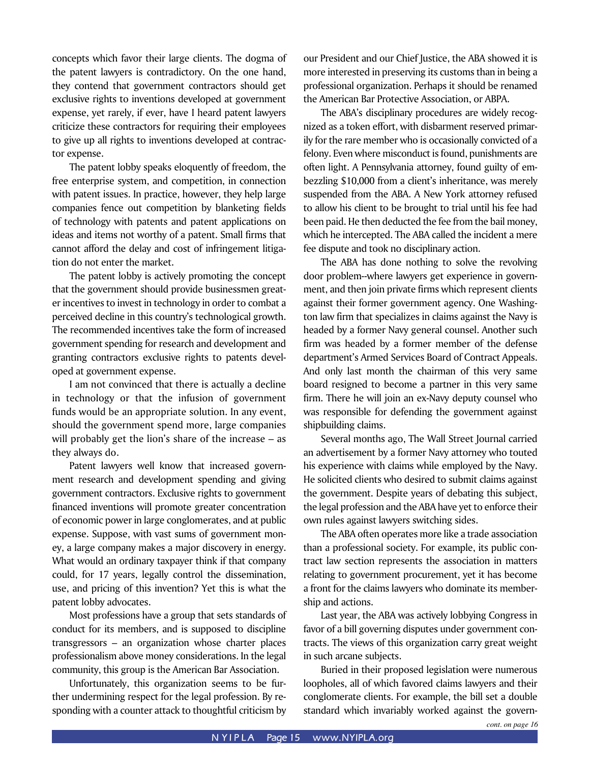concepts which favor their large clients. The dogma of the patent lawyers is contradictory. On the one hand, they contend that government contractors should get exclusive rights to inventions developed at government expense, yet rarely, if ever, have I heard patent lawyers criticize these contractors for requiring their employees to give up all rights to inventions developed at contractor expense.

 The patent lobby speaks eloquently of freedom, the free enterprise system, and competition, in connection with patent issues. In practice, however, they help large companies fence out competition by blanketing fields of technology with patents and patent applications on ideas and items not worthy of a patent. Small firms that cannot afford the delay and cost of infringement litigation do not enter the market.

 The patent lobby is actively promoting the concept that the government should provide businessmen greater incentives to invest in technology in order to combat a perceived decline in this country's technological growth. The recommended incentives take the form of increased government spending for research and development and granting contractors exclusive rights to patents developed at government expense.

I am not convinced that there is actually a decline in technology or that the infusion of government funds would be an appropriate solution. In any event, should the government spend more, large companies will probably get the lion's share of the increase – as they always do.

 Patent lawyers well know that increased government research and development spending and giving government contractors. Exclusive rights to government financed inventions will promote greater concentration of economic power in large conglomerates, and at public expense. Suppose, with vast sums of government money, a large company makes a major discovery in energy. What would an ordinary taxpayer think if that company could, for 17 years, legally control the dissemination, use, and pricing of this invention? Yet this is what the patent lobby advocates.

 Most professions have a group that sets standards of conduct for its members, and is supposed to discipline transgressors – an organization whose charter places professionalism above money considerations. In the legal community, this group is the American Bar Association.

 Unfortunately, this organization seems to be further undermining respect for the legal profession. By responding with a counter attack to thoughtful criticism by our President and our Chief Justice, the ABA showed it is more interested in preserving its customs than in being a professional organization. Perhaps it should be renamed the American Bar Protective Association, or ABPA.

 The ABA's disciplinary procedures are widely recognized as a token effort, with disbarment reserved primarily for the rare member who is occasionally convicted of a felony. Even where misconduct is found, punishments are often light. A Pennsylvania attorney, found guilty of embezzling \$10,000 from a client's inheritance, was merely suspended from the ABA. A New York attorney refused to allow his client to be brought to trial until his fee had been paid. He then deducted the fee from the bail money, which he intercepted. The ABA called the incident a mere fee dispute and took no disciplinary action.

 The ABA has done nothing to solve the revolving door problem--where lawyers get experience in government, and then join private firms which represent clients against their former government agency. One Washington law firm that specializes in claims against the Navy is headed by a former Navy general counsel. Another such firm was headed by a former member of the defense department's Armed Services Board of Contract Appeals. And only last month the chairman of this very same board resigned to become a partner in this very same firm. There he will join an ex-Navy deputy counsel who was responsible for defending the government against shipbuilding claims.

 Several months ago, The Wall Street Journal carried an advertisement by a former Navy attorney who touted his experience with claims while employed by the Navy. He solicited clients who desired to submit claims against the government. Despite years of debating this subject, the legal profession and the ABA have yet to enforce their own rules against lawyers switching sides.

 The ABA often operates more like a trade association than a professional society. For example, its public contract law section represents the association in matters relating to government procurement, yet it has become a front for the claims lawyers who dominate its membership and actions.

 Last year, the ABA was actively lobbying Congress in favor of a bill governing disputes under government contracts. The views of this organization carry great weight in such arcane subjects.

 Buried in their proposed legislation were numerous loopholes, all of which favored claims lawyers and their conglomerate clients. For example, the bill set a double standard which invariably worked against the govern-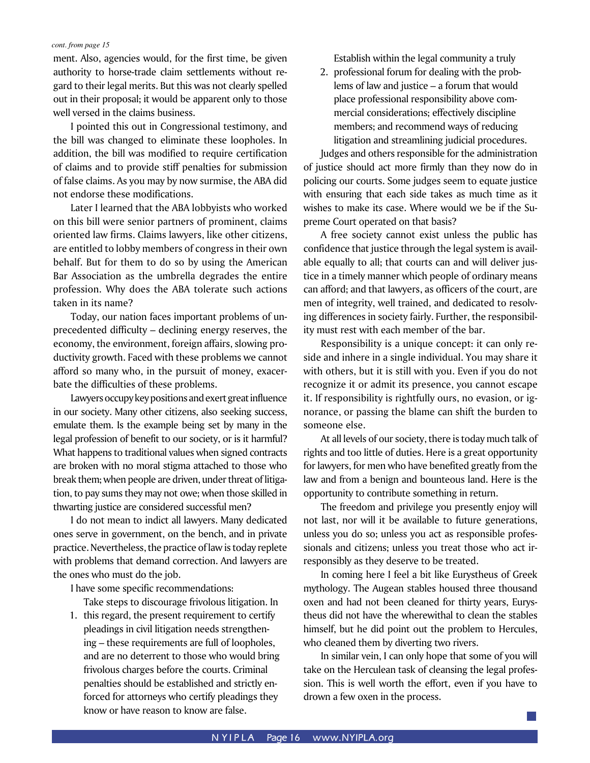ment. Also, agencies would, for the first time, be given authority to horse-trade claim settlements without regard to their legal merits. But this was not clearly spelled out in their proposal; it would be apparent only to those well versed in the claims business.

 I pointed this out in Congressional testimony, and the bill was changed to eliminate these loopholes. In addition, the bill was modified to require certification of claims and to provide stiff penalties for submission of false claims. As you may by now surmise, the ABA did not endorse these modifications.

 Later I learned that the ABA lobbyists who worked on this bill were senior partners of prominent, claims oriented law firms. Claims lawyers, like other citizens, are entitled to lobby members of congress in their own behalf. But for them to do so by using the American Bar Association as the umbrella degrades the entire profession. Why does the ABA tolerate such actions taken in its name?

 Today, our nation faces important problems of unprecedented difficulty – declining energy reserves, the economy, the environment, foreign affairs, slowing productivity growth. Faced with these problems we cannot afford so many who, in the pursuit of money, exacerbate the difficulties of these problems.

 Lawyers occupy key positions and exert great influence in our society. Many other citizens, also seeking success, emulate them. Is the example being set by many in the legal profession of benefit to our society, or is it harmful? What happens to traditional values when signed contracts are broken with no moral stigma attached to those who break them; when people are driven, under threat of litigation, to pay sums they may not owe; when those skilled in thwarting justice are considered successful men?

 I do not mean to indict all lawyers. Many dedicated ones serve in government, on the bench, and in private practice. Nevertheless, the practice of law is today replete with problems that demand correction. And lawyers are the ones who must do the job.

I have some specific recommendations:

Take steps to discourage frivolous litigation. In

1. this regard, the present requirement to certify pleadings in civil litigation needs strengthening – these requirements are full of loopholes, and are no deterrent to those who would bring frivolous charges before the courts. Criminal penalties should be established and strictly enforced for attorneys who certify pleadings they know or have reason to know are false.

Establish within the legal community a truly

2. professional forum for dealing with the problems of law and justice – a forum that would place professional responsibility above commercial considerations; effectively discipline members; and recommend ways of reducing litigation and streamlining judicial procedures.

 Judges and others responsible for the administration of justice should act more firmly than they now do in policing our courts. Some judges seem to equate justice with ensuring that each side takes as much time as it wishes to make its case. Where would we be if the Supreme Court operated on that basis?

 A free society cannot exist unless the public has confidence that justice through the legal system is available equally to all; that courts can and will deliver justice in a timely manner which people of ordinary means can afford; and that lawyers, as officers of the court, are men of integrity, well trained, and dedicated to resolving differences in society fairly. Further, the responsibility must rest with each member of the bar.

 Responsibility is a unique concept: it can only reside and inhere in a single individual. You may share it with others, but it is still with you. Even if you do not recognize it or admit its presence, you cannot escape it. If responsibility is rightfully ours, no evasion, or ignorance, or passing the blame can shift the burden to someone else.

 At all levels of our society, there is today much talk of rights and too little of duties. Here is a great opportunity for lawyers, for men who have benefited greatly from the law and from a benign and bounteous land. Here is the opportunity to contribute something in return.

 The freedom and privilege you presently enjoy will not last, nor will it be available to future generations, unless you do so; unless you act as responsible professionals and citizens; unless you treat those who act irresponsibly as they deserve to be treated.

 In coming here I feel a bit like Eurystheus of Greek mythology. The Augean stables housed three thousand oxen and had not been cleaned for thirty years, Eurystheus did not have the wherewithal to clean the stables himself, but he did point out the problem to Hercules, who cleaned them by diverting two rivers.

 In similar vein, I can only hope that some of you will take on the Herculean task of cleansing the legal profession. This is well worth the effort, even if you have to drown a few oxen in the process.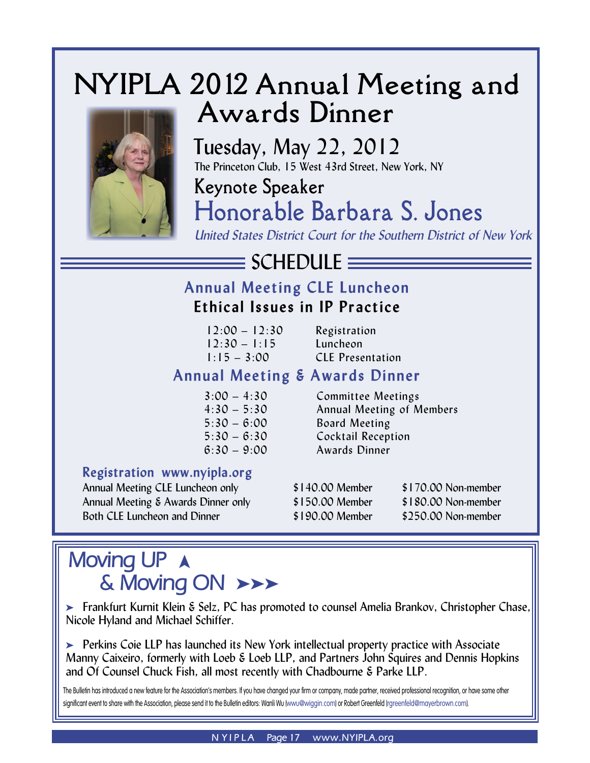# **NYIPLA 2012 Annual Meeting and Awards Dinner**



Tuesday, May 22, 2012 The Princeton Club, 15 West 43rd Street, New York, NY **Keynote Speaker**

**Honorable Barbara S. Jones**

*United States District Court for the Southern District of New York*

# $\equiv$  SCHEDULE  $\equiv$

# **Annual Meeting CLE Luncheon Ethical Issues in IP Practice**

| $12:00 - 12:30$ |  |
|-----------------|--|
| $12:30 - 1:15$  |  |
| $1:15 - 3:00$   |  |

Registration 1 uncheon **CLE Presentation** 

## **Annual Meeting & Awards Dinner**

3:00 – 4:30 Committee Meetings 4:30 – 5:30 Annual Meeting of Members 5:30 – 6:00 Board Meeting 5:30 – 6:30 Cocktail Reception 6:30 – 9:00 Awards Dinner

## **Registration www.nyipla.org**

Annual Meeting CLE Luncheon only  $$140.00$  Member  $$170.00$  Non-member Annual Meeting & Awards Dinner only  $$150.00$  Member  $$180.00$  Non-member Both CLE Luncheon and Dinner \$190.00 Member \$250.00 Non-member

# **Moving UP A & Moving ON >>>**

 $\triangleright$  Frankfurt Kurnit Klein & Selz, PC has promoted to counsel Amelia Brankov, Christopher Chase, Nicole Hyland and Michael Schiffer.

 $\triangleright$  Perkins Coie LLP has launched its New York intellectual property practice with Associate Manny Caixeiro, formerly with Loeb & Loeb LLP, and Partners John Squires and Dennis Hopkins and Of Counsel Chuck Fish, all most recently with Chadbourne & Parke LLP.

The Bulletin has introduced a new feature for the Association's members. If you have changed your firm or company, made partner, received professional recognition, or have some other significant event to share with the Association, please send it to the Bulletin editors: Wanli Wu (wwu@wiggin.com) or Robert Greenfeld (rgreenfeld@mayerbrown.com).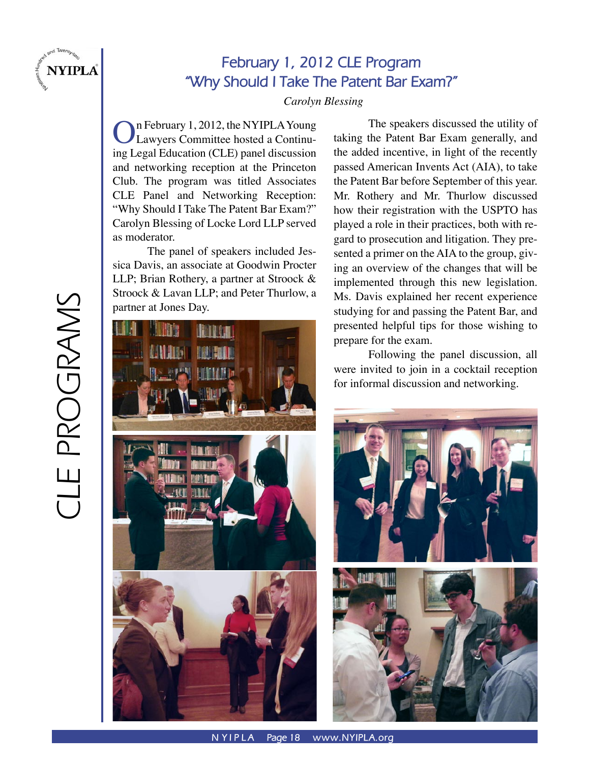

## **February 1, 2012 CLE Program "Why Should I Take The Patent Bar Exam?"**

*Carolyn Blessing*

On February 1, 2012, the NYIPLA Young<br>Lawyers Committee hosted a Continuing Legal Education (CLE) panel discussion and networking reception at the Princeton Club. The program was titled Associates CLE Panel and Networking Reception: "Why Should I Take The Patent Bar Exam?" Carolyn Blessing of Locke Lord LLP served as moderator.

 The panel of speakers included Jessica Davis, an associate at Goodwin Procter LLP; Brian Rothery, a partner at Stroock & Stroock & Lavan LLP; and Peter Thurlow, a partner at Jones Day.



 The speakers discussed the utility of taking the Patent Bar Exam generally, and the added incentive, in light of the recently passed American Invents Act (AIA), to take the Patent Bar before September of this year. Mr. Rothery and Mr. Thurlow discussed how their registration with the USPTO has played a role in their practices, both with regard to prosecution and litigation. They presented a primer on the AIA to the group, giving an overview of the changes that will be implemented through this new legislation. Ms. Davis explained her recent experience studying for and passing the Patent Bar, and presented helpful tips for those wishing to prepare for the exam.

 Following the panel discussion, all were invited to join in a cocktail reception for informal discussion and networking.

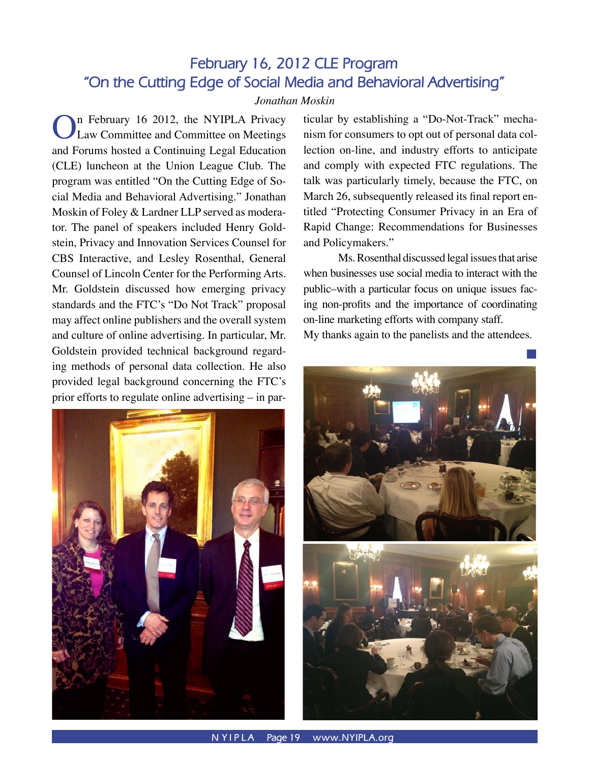# **February 16, 2012 CLE Program "On the Cutting Edge of Social Media and Behavioral Advertising"**

*Jonathan Moskin*

In February 16 2012, the NYIPLA Privacy Law Committee and Committee on Meetings and Forums hosted a Continuing Legal Education (CLE) luncheon at the Union League Club. The program was entitled "On the Cutting Edge of Social Media and Behavioral Advertising." Jonathan Moskin of Foley & Lardner LLP served as moderator. The panel of speakers included Henry Goldstein, Privacy and Innovation Services Counsel for CBS Interactive, and Lesley Rosenthal, General Counsel of Lincoln Center for the Performing Arts. Mr. Goldstein discussed how emerging privacy standards and the FTC's "Do Not Track" proposal may affect online publishers and the overall system and culture of online advertising. In particular, Mr. Goldstein provided technical background regarding methods of personal data collection. He also provided legal background concerning the FTC's prior efforts to regulate online advertising – in par-



ticular by establishing a "Do-Not-Track" mechanism for consumers to opt out of personal data collection on-line, and industry efforts to anticipate and comply with expected FTC regulations. The talk was particularly timely, because the FTC, on March 26, subsequently released its final report entitled "Protecting Consumer Privacy in an Era of Rapid Change: Recommendations for Businesses and Policymakers."

 Ms. Rosenthal discussed legal issues that arise when businesses use social media to interact with the public–with a particular focus on unique issues facing non-profits and the importance of coordinating on-line marketing efforts with company staff. My thanks again to the panelists and the attendees.

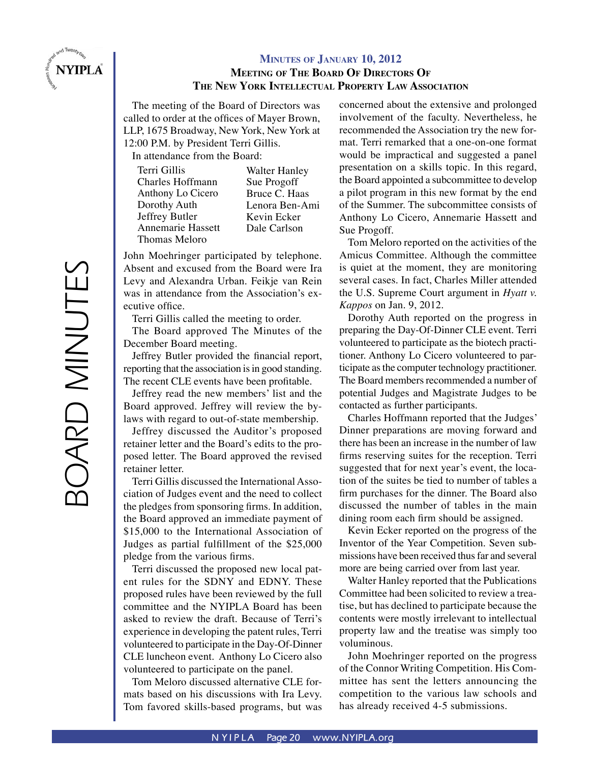

## **MINUTES OF JANUARY 10, 2012 MEETING OF THE BOARD OF DIRECTORS OF THE NEW YORK INTELLECTUAL PROPERTY LAW ASSOCIATION**

The meeting of the Board of Directors was called to order at the offices of Mayer Brown, LLP, 1675 Broadway, New York, New York at 12:00 P.M. by President Terri Gillis. In attendance from the Board:

| Terri Gillis      |
|-------------------|
| Charles Hoffmann  |
| Anthony Lo Cicero |
| Dorothy Auth      |
| Jeffrey Butler    |
| Annemarie Hassett |
| Thomas Meloro     |

Walter Hanley Sue Progoff Bruce C. Haas Lenora Ben-Ami Kevin Ecker Dale Carlson

John Moehringer participated by telephone. Absent and excused from the Board were Ira Levy and Alexandra Urban. Feikje van Rein was in attendance from the Association's executive office.

Terri Gillis called the meeting to order.

 The Board approved The Minutes of the December Board meeting.

Jeffrey Butler provided the financial report, reporting that the association is in good standing. The recent CLE events have been profitable.

 Jeffrey read the new members' list and the Board approved. Jeffrey will review the bylaws with regard to out-of-state membership.

Jeffrey discussed the Auditor's proposed retainer letter and the Board's edits to the proposed letter. The Board approved the revised retainer letter.

 Terri Gillis discussed the International Association of Judges event and the need to collect the pledges from sponsoring firms. In addition, the Board approved an immediate payment of \$15,000 to the International Association of Judges as partial fulfillment of the \$25,000 pledge from the various firms.

 Terri discussed the proposed new local patent rules for the SDNY and EDNY. These proposed rules have been reviewed by the full committee and the NYIPLA Board has been asked to review the draft. Because of Terri's experience in developing the patent rules, Terri volunteered to participate in the Day-Of-Dinner CLE luncheon event. Anthony Lo Cicero also volunteered to participate on the panel.

 Tom Meloro discussed alternative CLE formats based on his discussions with Ira Levy. Tom favored skills-based programs, but was

concerned about the extensive and prolonged involvement of the faculty. Nevertheless, he recommended the Association try the new format. Terri remarked that a one-on-one format would be impractical and suggested a panel presentation on a skills topic. In this regard, the Board appointed a subcommittee to develop a pilot program in this new format by the end of the Summer. The subcommittee consists of Anthony Lo Cicero, Annemarie Hassett and Sue Progoff.

 Tom Meloro reported on the activities of the Amicus Committee. Although the committee is quiet at the moment, they are monitoring several cases. In fact, Charles Miller attended the U.S. Supreme Court argument in *Hyatt v. Kappos* on Jan. 9, 2012.

Dorothy Auth reported on the progress in preparing the Day-Of-Dinner CLE event. Terri volunteered to participate as the biotech practitioner. Anthony Lo Cicero volunteered to participate as the computer technology practitioner. The Board members recommended a number of potential Judges and Magistrate Judges to be contacted as further participants.

 Charles Hoffmann reported that the Judges' Dinner preparations are moving forward and there has been an increase in the number of law firms reserving suites for the reception. Terri suggested that for next year's event, the location of the suites be tied to number of tables a firm purchases for the dinner. The Board also discussed the number of tables in the main dining room each firm should be assigned.

 Kevin Ecker reported on the progress of the Inventor of the Year Competition. Seven submissions have been received thus far and several more are being carried over from last year.

 Walter Hanley reported that the Publications Committee had been solicited to review a treatise, but has declined to participate because the contents were mostly irrelevant to intellectual property law and the treatise was simply too voluminous.

 John Moehringer reported on the progress of the Connor Writing Competition. His Committee has sent the letters announcing the competition to the various law schools and has already received 4-5 submissions.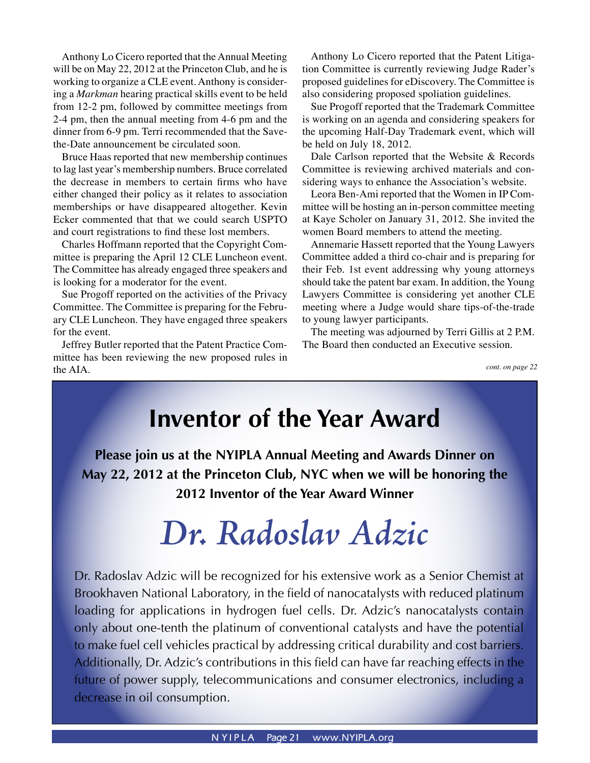Anthony Lo Cicero reported that the Annual Meeting will be on May 22, 2012 at the Princeton Club, and he is working to organize a CLE event. Anthony is considering a *Markman* hearing practical skills event to be held from 12-2 pm, followed by committee meetings from 2-4 pm, then the annual meeting from 4-6 pm and the dinner from 6-9 pm. Terri recommended that the Savethe-Date announcement be circulated soon.

 Bruce Haas reported that new membership continues to lag last year's membership numbers. Bruce correlated the decrease in members to certain firms who have either changed their policy as it relates to association memberships or have disappeared altogether. Kevin Ecker commented that that we could search USPTO and court registrations to find these lost members.

 Charles Hoffmann reported that the Copyright Committee is preparing the April 12 CLE Luncheon event. The Committee has already engaged three speakers and is looking for a moderator for the event.

 Sue Progoff reported on the activities of the Privacy Committee. The Committee is preparing for the February CLE Luncheon. They have engaged three speakers for the event.

 Jeffrey Butler reported that the Patent Practice Committee has been reviewing the new proposed rules in the AIA.

 Anthony Lo Cicero reported that the Patent Litigation Committee is currently reviewing Judge Rader's proposed guidelines for eDiscovery. The Committee is also considering proposed spoliation guidelines.

 Sue Progoff reported that the Trademark Committee is working on an agenda and considering speakers for the upcoming Half-Day Trademark event, which will be held on July 18, 2012.

 Dale Carlson reported that the Website & Records Committee is reviewing archived materials and considering ways to enhance the Association's website.

 Leora Ben-Ami reported that the Women in IP Committee will be hosting an in-person committee meeting at Kaye Scholer on January 31, 2012. She invited the women Board members to attend the meeting.

 Annemarie Hassett reported that the Young Lawyers Committee added a third co-chair and is preparing for their Feb. 1st event addressing why young attorneys should take the patent bar exam. In addition, the Young Lawyers Committee is considering yet another CLE meeting where a Judge would share tips-of-the-trade to young lawyer participants.

 The meeting was adjourned by Terri Gillis at 2 P.M. The Board then conducted an Executive session.

*cont. on page 22*



only about one-tenth the platinum of conventional catalysts and have the potential to make fuel cell vehicles practical by addressing critical durability and cost barriers. Additionally, Dr. Adzic's contributions in this field can have far reaching effects in the future of power supply, telecommunications and consumer electronics, including a decrease in oil consumption.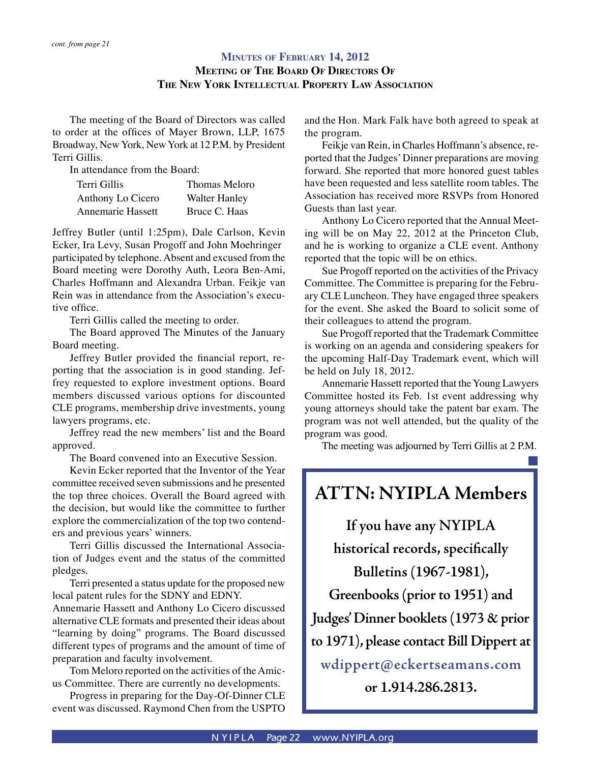## **MINUTES OF FEBRUARY 14, 2012 MEETING OF THE BOARD OF DIRECTORS OF THE NEW YORK INTELLECTUAL PROPERTY LAW ASSOCIATION**

 The meeting of the Board of Directors was called to order at the offices of Mayer Brown, LLP, 1675 Broadway, New York, New York at 12 P.M. by President Terri Gillis.

In attendance from the Board:

| Terri Gillis      | Thomas Meloro        |
|-------------------|----------------------|
| Anthony Lo Cicero | <b>Walter Hanley</b> |
| Annemarie Hassett | Bruce C. Haas        |

Jeffrey Butler (until 1:25pm), Dale Carlson, Kevin Ecker, Ira Levy, Susan Progoff and John Moehringer participated by telephone. Absent and excused from the Board meeting were Dorothy Auth, Leora Ben-Ami, Charles Hoffmann and Alexandra Urban. Feikje van Rein was in attendance from the Association's executive office.

Terri Gillis called the meeting to order.

The Board approved The Minutes of the January Board meeting.

 Jeffrey Butler provided the financial report, reporting that the association is in good standing. Jeffrey requested to explore investment options. Board members discussed various options for discounted CLE programs, membership drive investments, young lawyers programs, etc.

 Jeffrey read the new members' list and the Board approved.

The Board convened into an Executive Session.

 Kevin Ecker reported that the Inventor of the Year committee received seven submissions and he presented the top three choices. Overall the Board agreed with the decision, but would like the committee to further explore the commercialization of the top two contenders and previous years' winners.

Terri Gillis discussed the International Association of Judges event and the status of the committed pledges.

 Terri presented a status update for the proposed new local patent rules for the SDNY and EDNY.

Annemarie Hassett and Anthony Lo Cicero discussed alternative CLE formats and presented their ideas about "learning by doing" programs. The Board discussed different types of programs and the amount of time of preparation and faculty involvement.

Tom Meloro reported on the activities of the Amicus Committee. There are currently no developments.

Progress in preparing for the Day-Of-Dinner CLE event was discussed. Raymond Chen from the USPTO and the Hon. Mark Falk have both agreed to speak at the program.

 Feikje van Rein, in Charles Hoffmann's absence, reported that the Judges' Dinner preparations are moving forward. She reported that more honored guest tables have been requested and less satellite room tables. The Association has received more RSVPs from Honored Guests than last year.

 Anthony Lo Cicero reported that the Annual Meeting will be on May 22, 2012 at the Princeton Club, and he is working to organize a CLE event. Anthony reported that the topic will be on ethics.

 Sue Progoff reported on the activities of the Privacy Committee. The Committee is preparing for the February CLE Luncheon. They have engaged three speakers for the event. She asked the Board to solicit some of their colleagues to attend the program.

 Sue Progoff reported that the Trademark Committee is working on an agenda and considering speakers for the upcoming Half-Day Trademark event, which will be held on July 18, 2012.

 Annemarie Hassett reported that the Young Lawyers Committee hosted its Feb. 1st event addressing why young attorneys should take the patent bar exam. The program was not well attended, but the quality of the program was good.

The meeting was adjourned by Terri Gillis at 2 P.M.

# **ATTN: NYIPLA Members**

**If you have any NYIPLA historical records, specifically Bulletins (1967-1981), Greenbooks (prior to 1951) and Judges' Dinner booklets (1973 & prior to 1971), please contact Bill Dippert at wdippert@eckertseamans.com or 1.914.286.2813.**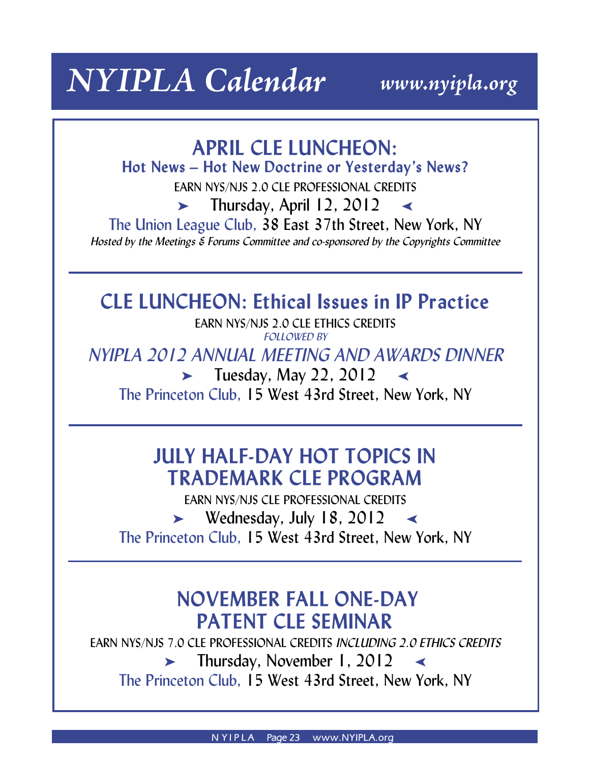# *NYIPLA Calendar www.nyipla.org*

**APRIL CLE LUNCHEON: Hot News – Hot New Doctrine or Yesterday's News?**  EARN NYS/NJS 2.0 CLE PROFESSIONAL CREDITS

Thursday, April 12, 2012

The Union League Club, 38 East 37th Street, New York, NY *Hosted by the Meetings & Forums Committee and co-sponsored by the Copyrights Committee*

# **CLE LUNCHEON: Ethical Issues in IP Practice**

EARN NYS/NJS 2.0 CLE ETHICS CREDITS *FOLLOWED BY*

*NYIPLA 2012 ANNUAL MEETING AND AWARDS DINNER*

 $\blacktriangleright$  Tuesday, May 22, 2012 The Princeton Club, 15 West 43rd Street, New York, NY

# **JULY HALF-DAY HOT TOPICS IN TRADEMARK CLE PROGRAM**

EARN NYS/NJS CLE PROFESSIONAL CREDITS  $\blacktriangleright$  Wednesday, July 18, 2012 The Princeton Club, 15 West 43rd Street, New York, NY

# **NOVEMBER FALL ONE-DAY**  PATENT CLE SEMINAR

EARN NYS/NJS 7.0 CLE PROFESSIONAL CREDITS *INCLUDING 2.0 ETHICS CREDITS* Thursday, November 1, 2012 The Princeton Club, 15 West 43rd Street, New York, NY